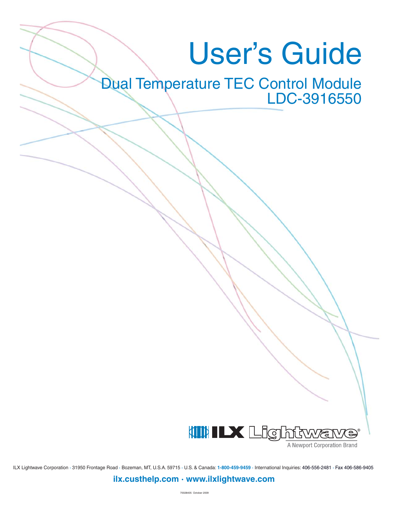# User's Guide

Dual Temperature TEC Control Module LDC-3916550



A Newport Corporation Brand

ILX Lightwave Corporation **·** 31950 Frontage Road **·** Bozeman, MT, U.S.A. 59715 **·** U.S. & Canada: **1-800-459-9459 ·** International Inquiries: 406-556-2481 **·** Fax 406-586-9405

### **ilx.custhelp.com · www.ilxlightwave.com**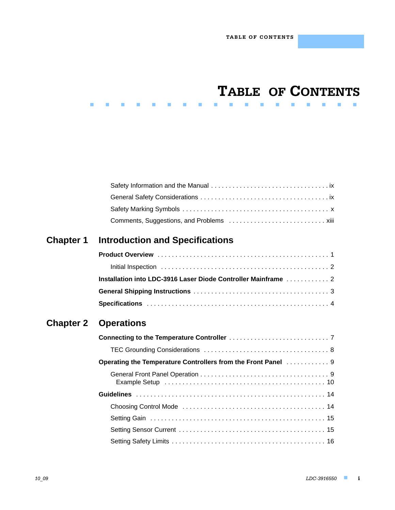# **TABLE OF CONTENTS**

. . . . . . . . . . . . . . . . . . .

# **Chapter 1 Introduction and Specifications**

| Installation into LDC-3916 Laser Diode Controller Mainframe 2 |  |  |  |  |
|---------------------------------------------------------------|--|--|--|--|
|                                                               |  |  |  |  |
|                                                               |  |  |  |  |

## **Chapter 2 Operations**

| Operating the Temperature Controllers from the Front Panel  9 |
|---------------------------------------------------------------|
|                                                               |
|                                                               |
|                                                               |
|                                                               |
|                                                               |
|                                                               |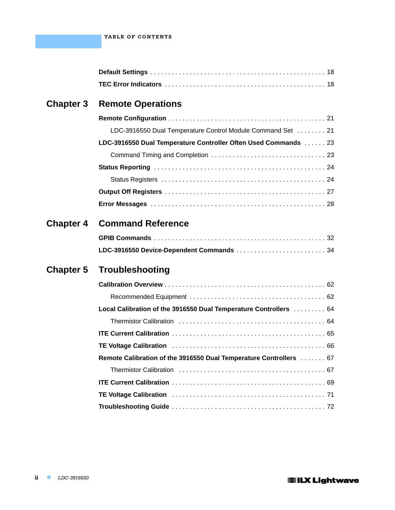## **Chapter 3 Remote Operations**

| LDC-3916550 Dual Temperature Control Module Command Set 21     |
|----------------------------------------------------------------|
| LDC-3916550 Dual Temperature Controller Often Used Commands 23 |
|                                                                |
|                                                                |
|                                                                |
|                                                                |
|                                                                |

### **Chapter 4 Command Reference**

# **Chapter 5 Troubleshooting**

| Local Calibration of the 3916550 Dual Temperature Controllers 64   |
|--------------------------------------------------------------------|
|                                                                    |
|                                                                    |
|                                                                    |
| Remote Calibration of the 3916550 Dual Temperature Controllers  67 |
|                                                                    |
|                                                                    |
|                                                                    |
|                                                                    |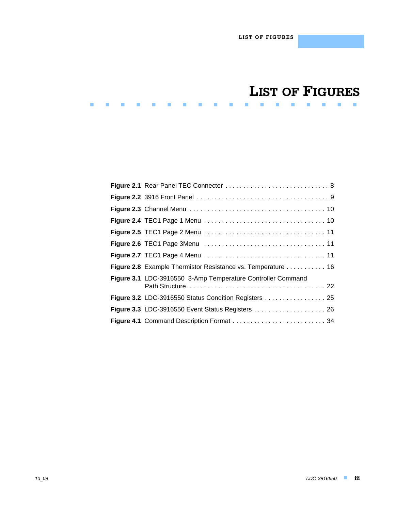# **LIST OF FIGURES**

| <b>Figure 2.8</b> Example Thermistor Resistance vs. Temperature 16 |
|--------------------------------------------------------------------|
| Figure 3.1 LDC-3916550 3-Amp Temperature Controller Command        |
| Figure 3.2 LDC-3916550 Status Condition Registers 25               |
|                                                                    |
|                                                                    |

. . . . . . . . . . . . . . . . . . .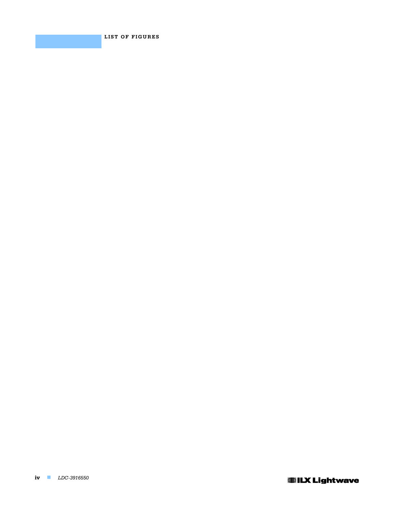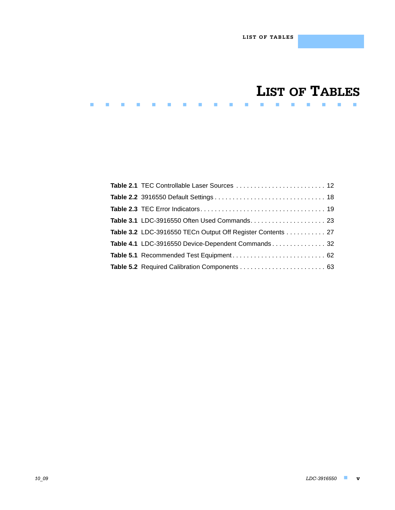# **LIST OF TABLES**

| Table 3.2 LDC-3916550 TECn Output Off Register Contents 27 |  |
|------------------------------------------------------------|--|
| Table 4.1 LDC-3916550 Device-Dependent Commands 32         |  |
|                                                            |  |
|                                                            |  |

. . . . . . . . . . . . . . . . . . .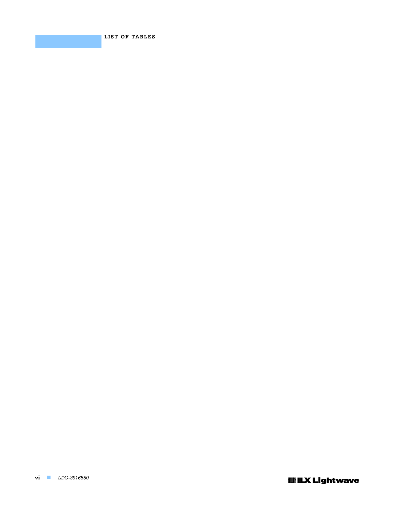**LIST OF TABLES**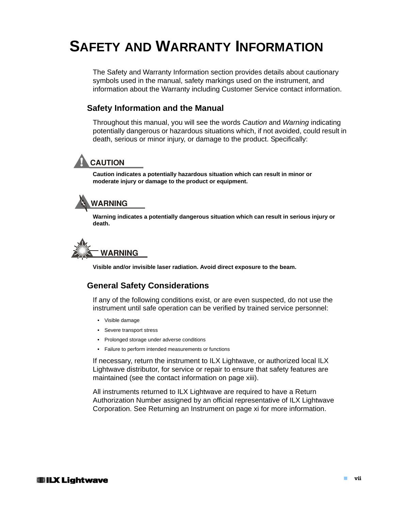# **SAFETY AND WARRANTY INFORMATION**

The Safety and Warranty Information section provides details about cautionary symbols used in the manual, safety markings used on the instrument, and information about the Warranty including Customer Service contact information.

#### **Safety Information and the Manual**

Throughout this manual, you will see the words *Caution* and *Warning* indicating potentially dangerous or hazardous situations which, if not avoided, could result in death, serious or minor injury, or damage to the product. Specifically:

# **! CAUTION**

**Caution indicates a potentially hazardous situation which can result in minor or moderate injury or damage to the product or equipment.** 

# **WARNING**

**Warning indicates a potentially dangerous situation which can result in serious injury or death.**



**Visible and/or invisible laser radiation. Avoid direct exposure to the beam.**

#### **General Safety Considerations**

If any of the following conditions exist, or are even suspected, do not use the instrument until safe operation can be verified by trained service personnel:

- **•** Visible damage
- **•** Severe transport stress
- **•** Prolonged storage under adverse conditions
- **•** Failure to perform intended measurements or functions

If necessary, return the instrument to ILX Lightwave, or authorized local ILX Lightwave distributor, for service or repair to ensure that safety features are maintained (see the contact information on page xiii).

All instruments returned to ILX Lightwave are required to have a Return Authorization Number assigned by an official representative of ILX Lightwave Corporation. See Returning an Instrument on page xi for more information.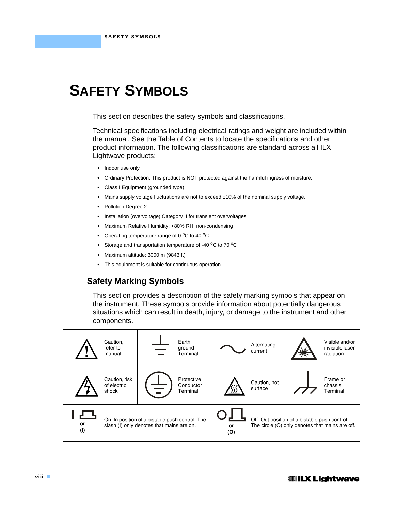# **SAFETY SYMBOLS**

This section describes the safety symbols and classifications.

Technical specifications including electrical ratings and weight are included within the manual. See the Table of Contents to locate the specifications and other product information. The following classifications are standard across all ILX Lightwave products:

- **•** Indoor use only
- **•** Ordinary Protection: This product is NOT protected against the harmful ingress of moisture.
- **•** Class I Equipment (grounded type)
- **•** Mains supply voltage fluctuations are not to exceed ±10% of the nominal supply voltage.
- **•** Pollution Degree 2
- **•** Installation (overvoltage) Category II for transient overvoltages
- **•** Maximum Relative Humidity: <80% RH, non-condensing
- Operating temperature range of 0 °C to 40 °C
- Storage and transportation temperature of -40 °C to 70 °C
- **•** Maximum altitude: 3000 m (9843 ft)
- **•** This equipment is suitable for continuous operation.

### **Safety Marking Symbols**

This section provides a description of the safety marking symbols that appear on the instrument. These symbols provide information about potentially dangerous situations which can result in death, injury, or damage to the instrument and other components.

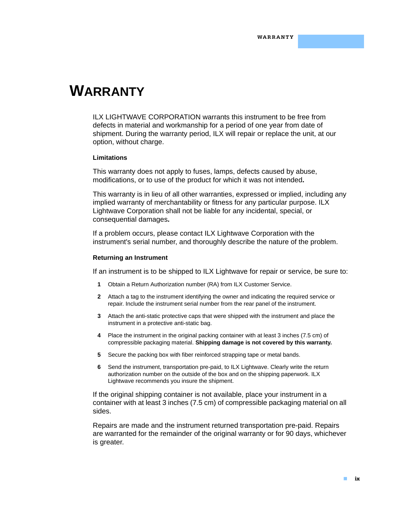# **WARRANTY**

ILX LIGHTWAVE CORPORATION warrants this instrument to be free from defects in material and workmanship for a period of one year from date of shipment. During the warranty period, ILX will repair or replace the unit, at our option, without charge.

#### **Limitations**

This warranty does not apply to fuses, lamps, defects caused by abuse, modifications, or to use of the product for which it was not intended**.**

This warranty is in lieu of all other warranties, expressed or implied, including any implied warranty of merchantability or fitness for any particular purpose. ILX Lightwave Corporation shall not be liable for any incidental, special, or consequential damages**.**

If a problem occurs, please contact ILX Lightwave Corporation with the instrument's serial number, and thoroughly describe the nature of the problem.

#### **Returning an Instrument**

If an instrument is to be shipped to ILX Lightwave for repair or service, be sure to:

- **1** Obtain a Return Authorization number (RA) from ILX Customer Service.
- **2** Attach a tag to the instrument identifying the owner and indicating the required service or repair. Include the instrument serial number from the rear panel of the instrument.
- **3** Attach the anti-static protective caps that were shipped with the instrument and place the instrument in a protective anti-static bag.
- **4** Place the instrument in the original packing container with at least 3 inches (7.5 cm) of compressible packaging material. **Shipping damage is not covered by this warranty.**
- **5** Secure the packing box with fiber reinforced strapping tape or metal bands.
- **6** Send the instrument, transportation pre-paid, to ILX Lightwave. Clearly write the return authorization number on the outside of the box and on the shipping paperwork. ILX Lightwave recommends you insure the shipment.

If the original shipping container is not available, place your instrument in a container with at least 3 inches (7.5 cm) of compressible packaging material on all sides.

Repairs are made and the instrument returned transportation pre-paid. Repairs are warranted for the remainder of the original warranty or for 90 days, whichever is greater.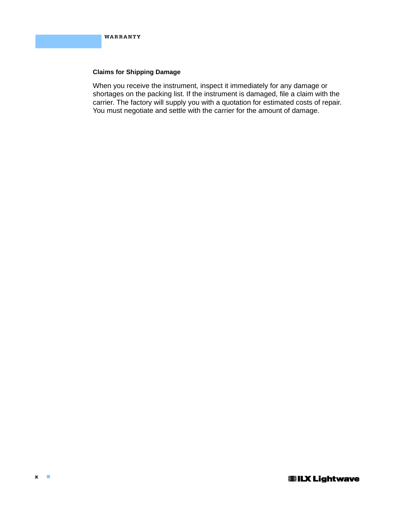#### **Claims for Shipping Damage**

When you receive the instrument, inspect it immediately for any damage or shortages on the packing list. If the instrument is damaged, file a claim with the carrier. The factory will supply you with a quotation for estimated costs of repair. You must negotiate and settle with the carrier for the amount of damage.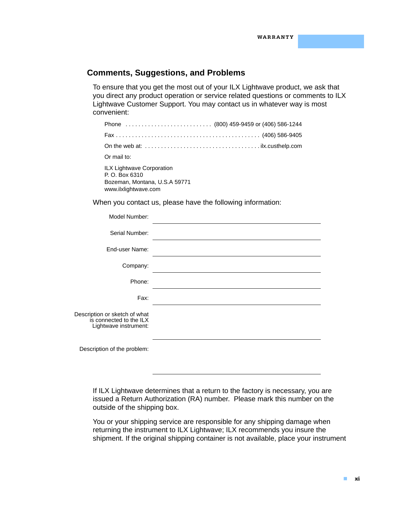#### **Comments, Suggestions, and Problems**

To ensure that you get the most out of your ILX Lightwave product, we ask that you direct any product operation or service related questions or comments to ILX Lightwave Customer Support. You may contact us in whatever way is most convenient:

| Or mail to:                                                                                                 |  |
|-------------------------------------------------------------------------------------------------------------|--|
| <b>ILX Lightwave Corporation</b><br>P. O. Box 6310<br>Bozeman, Montana, U.S.A 59771<br>www.ilxlightwave.com |  |

When you contact us, please have the following information:

| Model Number:                                                                     |  |
|-----------------------------------------------------------------------------------|--|
| Serial Number:                                                                    |  |
| End-user Name:                                                                    |  |
| Company:                                                                          |  |
| Phone:                                                                            |  |
| Fax:                                                                              |  |
| Description or sketch of what<br>is connected to the ILX<br>Lightwave instrument: |  |
| Description of the problem:                                                       |  |

If ILX Lightwave determines that a return to the factory is necessary, you are issued a Return Authorization (RA) number. Please mark this number on the outside of the shipping box.

You or your shipping service are responsible for any shipping damage when returning the instrument to ILX Lightwave; ILX recommends you insure the shipment. If the original shipping container is not available, place your instrument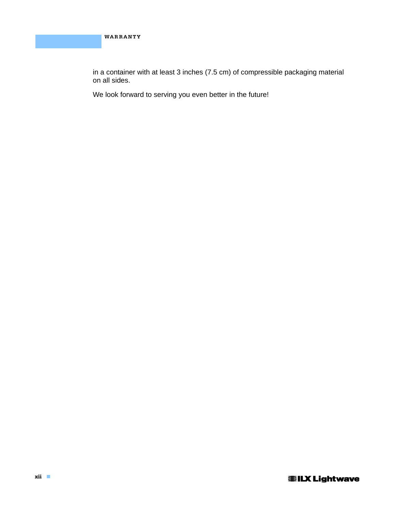in a container with at least 3 inches (7.5 cm) of compressible packaging material on all sides.

We look forward to serving you even better in the future!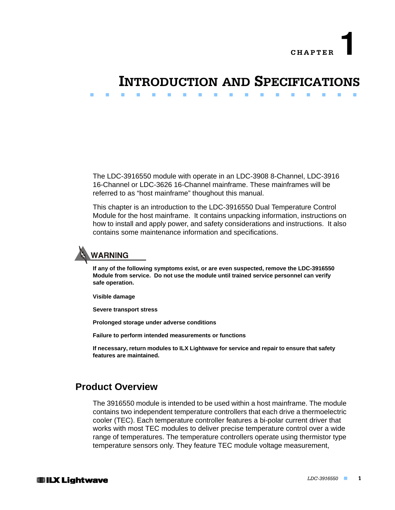

# **INTRODUCTION AND SPECIFICATIONS**

. . . . . . . . . . . . . . . . . . .

The LDC-3916550 module with operate in an LDC-3908 8-Channel, LDC-3916 16-Channel or LDC-3626 16-Channel mainframe. These mainframes will be referred to as "host mainframe" thoughout this manual.

This chapter is an introduction to the LDC-3916550 Dual Temperature Control Module for the host mainframe. It contains unpacking information, instructions on how to install and apply power, and safety considerations and instructions. It also contains some maintenance information and specifications.

# **WARNING**

**If any of the following symptoms exist, or are even suspected, remove the LDC-3916550 Module from service. Do not use the module until trained service personnel can verify safe operation.** 

**Visible damage**

**Severe transport stress**

**Prolonged storage under adverse conditions**

**Failure to perform intended measurements or functions**

**If necessary, return modules to ILX Lightwave for service and repair to ensure that safety features are maintained.**

### **Product Overview**

The 3916550 module is intended to be used within a host mainframe. The module contains two independent temperature controllers that each drive a thermoelectric cooler (TEC). Each temperature controller features a bi-polar current driver that works with most TEC modules to deliver precise temperature control over a wide range of temperatures. The temperature controllers operate using thermistor type temperature sensors only. They feature TEC module voltage measurement,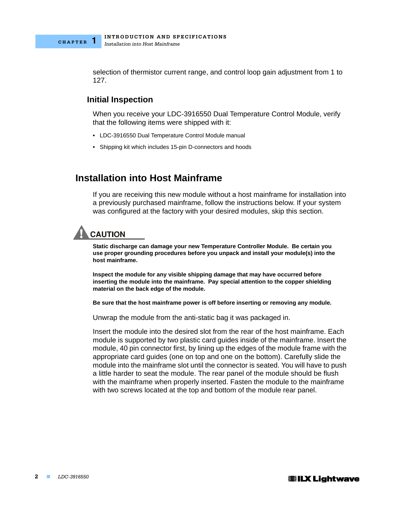selection of thermistor current range, and control loop gain adjustment from 1 to 127.

#### **Initial Inspection**

When you receive your LDC-3916550 Dual Temperature Control Module, verify that the following items were shipped with it:

- **•** LDC-3916550 Dual Temperature Control Module manual
- **•** Shipping kit which includes 15-pin D-connectors and hoods

### **Installation into Host Mainframe**

If you are receiving this new module without a host mainframe for installation into a previously purchased mainframe, follow the instructions below. If your system was configured at the factory with your desired modules, skip this section.

# **CAUTION**

**Static discharge can damage your new Temperature Controller Module. Be certain you use proper grounding procedures before you unpack and install your module(s) into the host mainframe.**

**Inspect the module for any visible shipping damage that may have occurred before inserting the module into the mainframe. Pay special attention to the copper shielding material on the back edge of the module.**

**Be sure that the host mainframe power is off before inserting or removing any module.**

Unwrap the module from the anti-static bag it was packaged in.

Insert the module into the desired slot from the rear of the host mainframe. Each module is supported by two plastic card guides inside of the mainframe. Insert the module, 40 pin connector first, by lining up the edges of the module frame with the appropriate card guides (one on top and one on the bottom). Carefully slide the module into the mainframe slot until the connector is seated. You will have to push a little harder to seat the module. The rear panel of the module should be flush with the mainframe when properly inserted. Fasten the module to the mainframe with two screws located at the top and bottom of the module rear panel.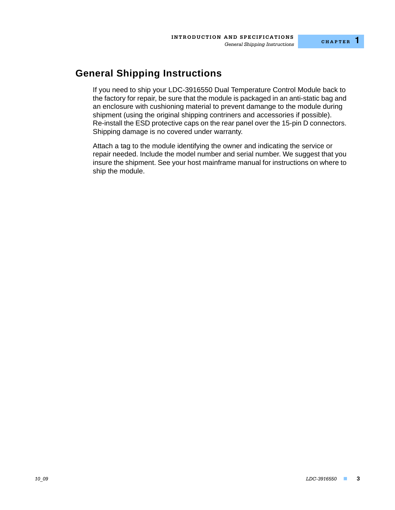### **General Shipping Instructions**

If you need to ship your LDC-3916550 Dual Temperature Control Module back to the factory for repair, be sure that the module is packaged in an anti-static bag and an enclosure with cushioning material to prevent damange to the module during shipment (using the original shipping contriners and accessories if possible). Re-install the ESD protective caps on the rear panel over the 15-pin D connectors. Shipping damage is no covered under warranty.

Attach a tag to the module identifying the owner and indicating the service or repair needed. Include the model number and serial number. We suggest that you insure the shipment. See your host mainframe manual for instructions on where to ship the module.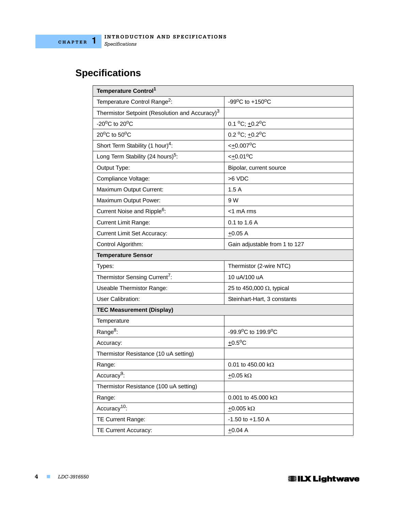# **Specifications**

| Temperature Control <sup>1</sup>                             |                                         |  |  |
|--------------------------------------------------------------|-----------------------------------------|--|--|
| Temperature Control Range <sup>2</sup> :                     | -99 $^{\circ}$ C to +150 $^{\circ}$ C   |  |  |
| Thermistor Setpoint (Resolution and Accuracy) <sup>3</sup>   |                                         |  |  |
| -20 $^{\circ}$ C to 20 $^{\circ}$ C                          | $0.1 °C$ ; $\pm 0.2 °C$                 |  |  |
| 20 $\mathrm{^{\mathrm{o}C}}$ to 50 $\mathrm{^{\mathrm{o}C}}$ | 0.2 °C; $\pm$ 0.2 °C                    |  |  |
| Short Term Stability (1 hour) <sup>4</sup> :                 | $< +0.007$ <sup>o</sup> C               |  |  |
| Long Term Stability (24 hours) <sup>5</sup> :                | $<+0.01^{\circ}C$                       |  |  |
| Output Type:                                                 | Bipolar, current source                 |  |  |
| Compliance Voltage:                                          | >6 VDC                                  |  |  |
| Maximum Output Current:                                      | 1.5A                                    |  |  |
| Maximum Output Power:                                        | 9 W                                     |  |  |
| Current Noise and Ripple <sup>6</sup> :                      | <1 mA rms                               |  |  |
| Current Limit Range:                                         | 0.1 to 1.6 A                            |  |  |
| <b>Current Limit Set Accuracy:</b>                           | ±0.05 A                                 |  |  |
| Control Algorithm:                                           | Gain adjustable from 1 to 127           |  |  |
| <b>Temperature Sensor</b>                                    |                                         |  |  |
| Types:                                                       | Thermistor (2-wire NTC)                 |  |  |
| Thermistor Sensing Current <sup>7</sup> :                    | 10 uA/100 uA                            |  |  |
| Useable Thermistor Range:                                    | 25 to 450,000 $\Omega$ , typical        |  |  |
| User Calibration:                                            | Steinhart-Hart, 3 constants             |  |  |
| <b>TEC Measurement (Display)</b>                             |                                         |  |  |
| Temperature                                                  |                                         |  |  |
| Range <sup>8</sup> :                                         | $-99.9^{\circ}$ C to 199.9 $^{\circ}$ C |  |  |
| Accuracy:                                                    | $\pm$ 0.5°C                             |  |  |
| Thermistor Resistance (10 uA setting)                        |                                         |  |  |
| Range:                                                       | 0.01 to 450.00 k $\Omega$               |  |  |
| Accuracy <sup>9</sup> :                                      | <u>+</u> 0.05 kΩ                        |  |  |
| Thermistor Resistance (100 uA setting)                       |                                         |  |  |
| Range:                                                       | 0.001 to 45.000 k $\Omega$              |  |  |
| Accuracy <sup>10</sup> :                                     | $\pm 0.005 \text{ k}\Omega$             |  |  |
| TE Current Range:                                            | $-1.50$ to $+1.50$ A                    |  |  |
| TE Current Accuracy:                                         | ±0.04 A                                 |  |  |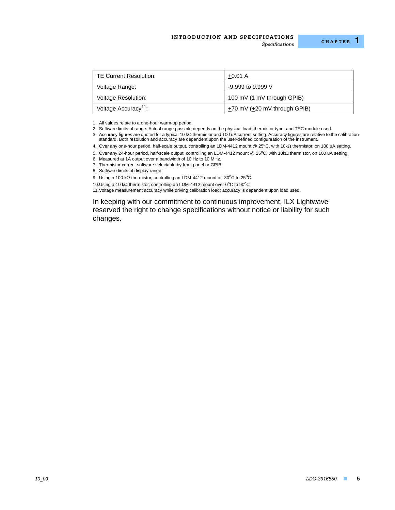#### **INTRODUCTION AND SPECIFICATIONS**

*Specifications*

| TE Current Resolution:           | $+0.01 A$                               |
|----------------------------------|-----------------------------------------|
| Voltage Range:                   | $-9.999$ to $9.999$ V                   |
| <b>Voltage Resolution:</b>       | 100 mV (1 mV through GPIB)              |
| Voltage Accuracy <sup>11</sup> : | $\pm$ 70 mV ( $\pm$ 20 mV through GPIB) |

1. All values relate to a one-hour warm-up period

2. Software limits of range. Actual range possible depends on the physical load, thermistor type, and TEC module used.

3. Accuracy figures are quoted for a typical 10 kΩ thermistor and 100 uA current setting. Accuracy figures are relative to the calibration<br>standard. Both resolution and accuracy are dependent upon the user-defined configu

4. Over any one-hour period, half-scale output, controlling an LDM-4412 mount @ 25°C, with 10kΩ thermistor, on 100 uA setting.

5. Over any 24-hour period, half-scale output, controlling an LDM-4412 mount @ 25°C, with 10k $\Omega$  thermistor, on 100 uA setting.

6. Measured at 1A output over a bandwidth of 10 Hz to 10 MHz.

7. Thermistor current software selectable by front panel or GPIB.

8. Software limits of display range.

9. Using a 100 k $\Omega$  thermistor, controlling an LDM-4412 mount of -30°C to 25°C.

10.Using a 10 k $\Omega$  thermistor, controlling an LDM-4412 mount over 0°C to 90°C

11.Voltage measurement accuracy while driving calibration load; accuracy is dependent upon load used.

In keeping with our commitment to continuous improvement, ILX Lightwave reserved the right to change specifications without notice or liability for such changes.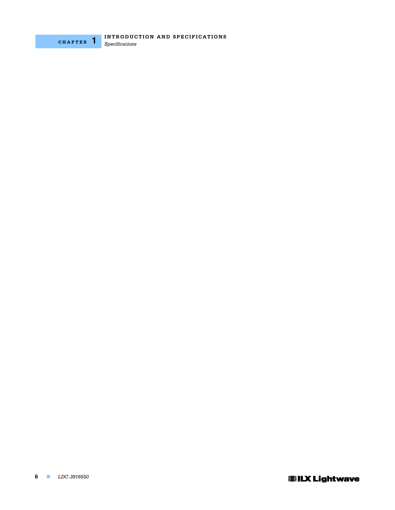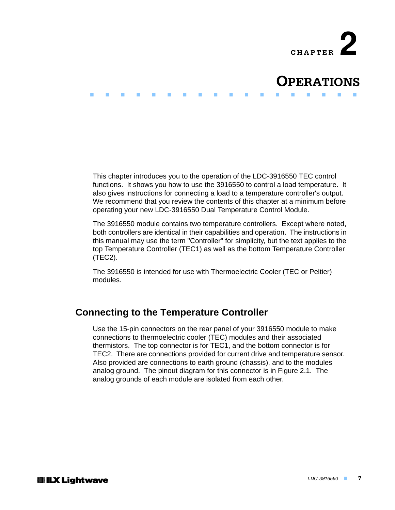

# **OPERATIONS**

This chapter introduces you to the operation of the LDC-3916550 TEC control functions. It shows you how to use the 3916550 to control a load temperature. It also gives instructions for connecting a load to a temperature controller's output. We recommend that you review the contents of this chapter at a minimum before operating your new LDC-3916550 Dual Temperature Control Module.

. . . . . . . . . . . . . . . . . . .

The 3916550 module contains two temperature controllers. Except where noted, both controllers are identical in their capabilities and operation. The instructions in this manual may use the term "Controller" for simplicity, but the text applies to the top Temperature Controller (TEC1) as well as the bottom Temperature Controller (TEC2).

The 3916550 is intended for use with Thermoelectric Cooler (TEC or Peltier) modules.

### **Connecting to the Temperature Controller**

Use the 15-pin connectors on the rear panel of your 3916550 module to make connections to thermoelectric cooler (TEC) modules and their associated thermistors. The top connector is for TEC1, and the bottom connector is for TEC2. There are connections provided for current drive and temperature sensor. Also provided are connections to earth ground (chassis), and to the modules analog ground. The pinout diagram for this connector is in Figure 2.1. The analog grounds of each module are isolated from each other.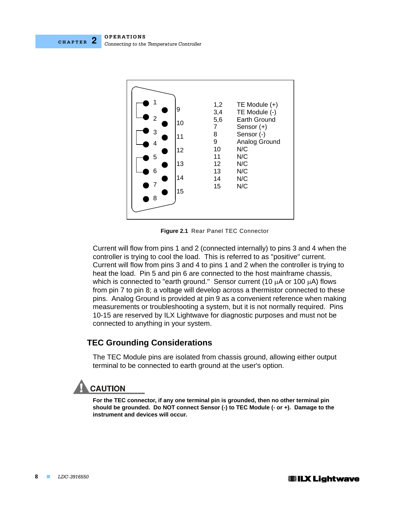



**Figure 2.1** Rear Panel TEC Connector

Current will flow from pins 1 and 2 (connected internally) to pins 3 and 4 when the controller is trying to cool the load. This is referred to as "positive" current. Current will flow from pins 3 and 4 to pins 1 and 2 when the controller is trying to heat the load. Pin 5 and pin 6 are connected to the host mainframe chassis, which is connected to "earth ground." Sensor current (10  $\mu$ A or 100  $\mu$ A) flows from pin 7 to pin 8; a voltage will develop across a thermistor connected to these pins. Analog Ground is provided at pin 9 as a convenient reference when making measurements or troubleshooting a system, but it is not normally required. Pins 10-15 are reserved by ILX Lightwave for diagnostic purposes and must not be connected to anything in your system.

#### **TEC Grounding Considerations**

The TEC Module pins are isolated from chassis ground, allowing either output terminal to be connected to earth ground at the user's option.

# **CAUTION**

**For the TEC connector, if any one terminal pin is grounded, then no other terminal pin should be grounded. Do NOT connect Sensor (-) to TEC Module (- or +). Damage to the instrument and devices will occur.**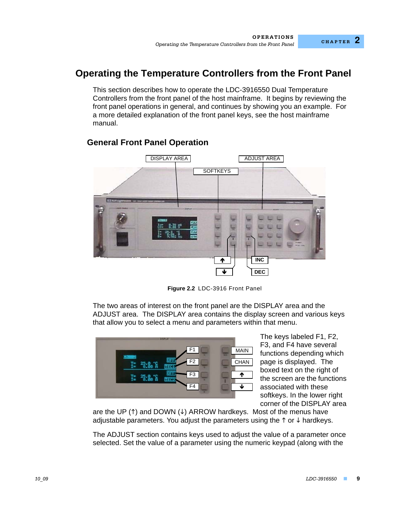### **Operating the Temperature Controllers from the Front Panel**

This section describes how to operate the LDC-3916550 Dual Temperature Controllers from the front panel of the host mainframe. It begins by reviewing the front panel operations in general, and continues by showing you an example. For a more detailed explanation of the front panel keys, see the host mainframe manual.

### **General Front Panel Operation**



**Figure 2.2** LDC-3916 Front Panel

The two areas of interest on the front panel are the DISPLAY area and the ADJUST area. The DISPLAY area contains the display screen and various keys that allow you to select a menu and parameters within that menu.



The keys labeled F1, F2, F3, and F4 have several functions depending which page is displayed. The boxed text on the right of the screen are the functions associated with these softkeys. In the lower right corner of the DISPLAY area

are the UP  $(1)$  and DOWN  $(1)$  ARROW hardkeys. Most of the menus have adjustable parameters. You adjust the parameters using the  $\uparrow$  or  $\downarrow$  hardkeys.

The ADJUST section contains keys used to adjust the value of a parameter once selected. Set the value of a parameter using the numeric keypad (along with the

**CHAPTER 2**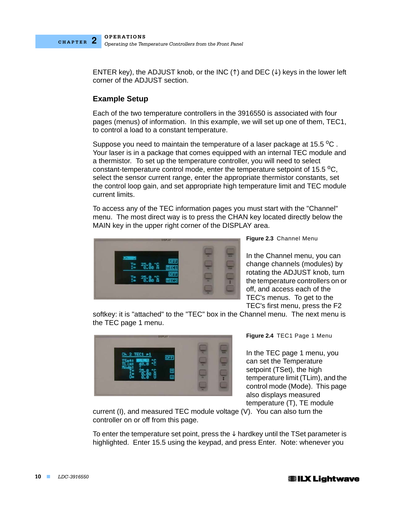ENTER key), the ADJUST knob, or the INC ( $\uparrow$ ) and DEC ( $\downarrow$ ) keys in the lower left corner of the ADJUST section.

#### **Example Setup**

Each of the two temperature controllers in the 3916550 is associated with four pages (menus) of information. In this example, we will set up one of them, TEC1, to control a load to a constant temperature.

Suppose you need to maintain the temperature of a laser package at 15.5  $\mathrm{^{\circ}C}$ . Your laser is in a package that comes equipped with an internal TEC module and a thermistor. To set up the temperature controller, you will need to select constant-temperature control mode, enter the temperature setpoint of 15.5  $^{\circ}$ C, select the sensor current range, enter the appropriate thermistor constants, set the control loop gain, and set appropriate high temperature limit and TEC module current limits.

To access any of the TEC information pages you must start with the "Channel" menu. The most direct way is to press the CHAN key located directly below the MAIN key in the upper right corner of the DISPLAY area.



**Figure 2.3** Channel Menu

In the Channel menu, you can change channels (modules) by rotating the ADJUST knob, turn the temperature controllers on or off, and access each of the TEC's menus. To get to the TEC's first menu, press the F2

softkey: it is "attached" to the "TEC" box in the Channel menu. The next menu is the TEC page 1 menu.



**Figure 2.4** TEC1 Page 1 Menu

In the TEC page 1 menu, you can set the Temperature setpoint (TSet), the high temperature limit (TLim), and the control mode (Mode). This page also displays measured temperature (T), TE module

current (I), and measured TEC module voltage (V). You can also turn the controller on or off from this page.

To enter the temperature set point, press the  $\downarrow$  hardkey until the TSet parameter is highlighted. Enter 15.5 using the keypad, and press Enter. Note: whenever you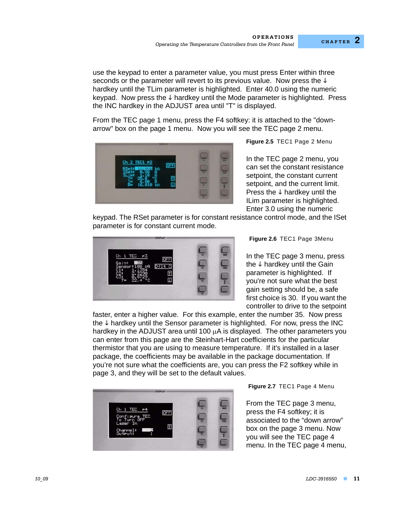use the keypad to enter a parameter value, you must press Enter within three seconds or the parameter will revert to its previous value. Now press the  $\downarrow$ hardkey until the TLim parameter is highlighted. Enter 40.0 using the numeric keypad. Now press the  $\downarrow$  hardkey until the Mode parameter is highlighted. Press the INC hardkey in the ADJUST area until "T" is displayed.

From the TEC page 1 menu, press the F4 softkey: it is attached to the "downarrow" box on the page 1 menu. Now you will see the TEC page 2 menu.



**Figure 2.5** TEC1 Page 2 Menu

In the TEC page 2 menu, you can set the constant resistance setpoint, the constant current setpoint, and the current limit. Press the  $\downarrow$  hardkey until the ILim parameter is highlighted. Enter 3.0 using the numeric

keypad. The RSet parameter is for constant resistance control mode, and the ISet parameter is for constant current mode.



**Figure 2.6** TEC1 Page 3Menu

In the TEC page 3 menu, press the  $\downarrow$  hardkey until the Gain parameter is highlighted. If you're not sure what the best gain setting should be, a safe first choice is 30. If you want the controller to drive to the setpoint

faster, enter a higher value. For this example, enter the number 35. Now press the  $\downarrow$  hardkey until the Sensor parameter is highlighted. For now, press the INC hardkey in the ADJUST area until 100  $\mu$ A is displayed. The other parameters you can enter from this page are the Steinhart-Hart coefficients for the particular thermistor that you are using to measure temperature. If it's installed in a laser package, the coefficients may be available in the package documentation. If you're not sure what the coefficients are, you can press the F2 softkey while in page 3, and they will be set to the default values.



**Figure 2.7** TEC1 Page 4 Menu

From the TEC page 3 menu, press the F4 softkey; it is associated to the "down arrow" box on the page 3 menu. Now you will see the TEC page 4 menu. In the TEC page 4 menu,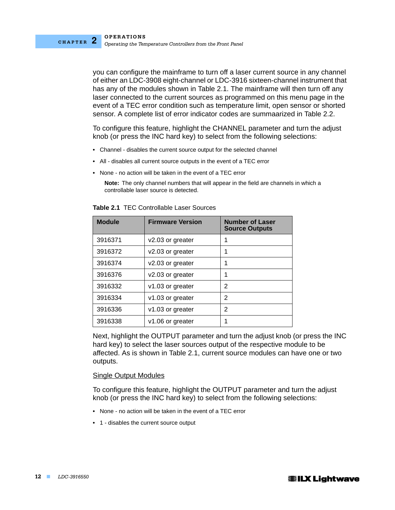you can configure the mainframe to turn off a laser current source in any channel of either an LDC-3908 eight-channel or LDC-3916 sixteen-channel instrument that has any of the modules shown in Table 2.1. The mainframe will then turn off any laser connected to the current sources as programmed on this menu page in the event of a TEC error condition such as temperature limit, open sensor or shorted sensor. A complete list of error indicator codes are summaarized in Table 2.2.

To configure this feature, highlight the CHANNEL parameter and turn the adjust knob (or press the INC hard key) to select from the following selections:

- **•** Channel disables the current source output for the selected channel
- **•** All disables all current source outputs in the event of a TEC error
- **•** None no action will be taken in the event of a TEC error

**Note:** The only channel numbers that will appear in the field are channels in which a controllable laser source is detected.

| <b>Module</b> | <b>Firmware Version</b> | <b>Number of Laser</b><br><b>Source Outputs</b> |
|---------------|-------------------------|-------------------------------------------------|
| 3916371       | v2.03 or greater        |                                                 |
| 3916372       | v2.03 or greater        | 1                                               |
| 3916374       | v2.03 or greater        | 1                                               |
| 3916376       | v2.03 or greater        | 1                                               |
| 3916332       | v1.03 or greater        | 2                                               |
| 3916334       | v1.03 or greater        | 2                                               |
| 3916336       | v1.03 or greater        | 2                                               |
| 3916338       | v1.06 or greater        |                                                 |

**Table 2.1** TEC Controllable Laser Sources

Next, highlight the OUTPUT parameter and turn the adjust knob (or press the INC hard key) to select the laser sources output of the respective module to be affected. As is shown in Table 2.1, current source modules can have one or two outputs.

#### Single Output Modules

To configure this feature, highlight the OUTPUT parameter and turn the adjust knob (or press the INC hard key) to select from the following selections:

- **•** None no action will be taken in the event of a TEC error
- **•** 1 disables the current source output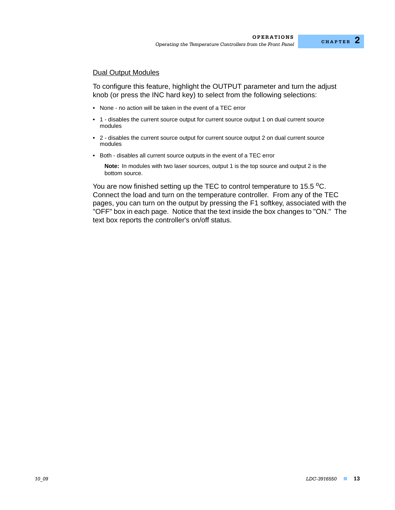#### Dual Output Modules

To configure this feature, highlight the OUTPUT parameter and turn the adjust knob (or press the INC hard key) to select from the following selections:

- **•** None no action will be taken in the event of a TEC error
- **•** 1 disables the current source output for current source output 1 on dual current source modules
- **•** 2 disables the current source output for current source output 2 on dual current source modules
- **•** Both disables all current source outputs in the event of a TEC error

**Note:** In modules with two laser sources, output 1 is the top source and output 2 is the bottom source.

You are now finished setting up the TEC to control temperature to 15.5  $\mathrm{^{\circ}C}$ . Connect the load and turn on the temperature controller. From any of the TEC pages, you can turn on the output by pressing the F1 softkey, associated with the "OFF" box in each page. Notice that the text inside the box changes to "ON." The text box reports the controller's on/off status.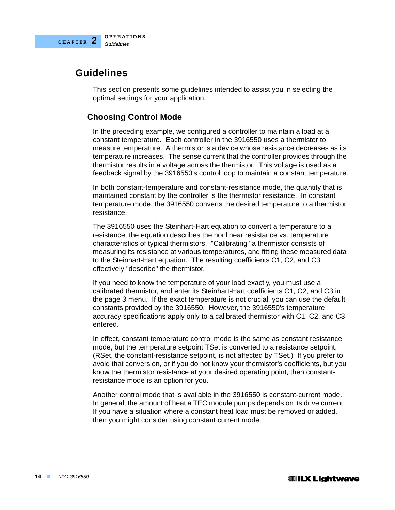### **Guidelines**

This section presents some guidelines intended to assist you in selecting the optimal settings for your application.

### **Choosing Control Mode**

In the preceding example, we configured a controller to maintain a load at a constant temperature. Each controller in the 3916550 uses a thermistor to measure temperature. A thermistor is a device whose resistance decreases as its temperature increases. The sense current that the controller provides through the thermistor results in a voltage across the thermistor. This voltage is used as a feedback signal by the 3916550's control loop to maintain a constant temperature.

In both constant-temperature and constant-resistance mode, the quantity that is maintained constant by the controller is the thermistor resistance. In constant temperature mode, the 3916550 converts the desired temperature to a thermistor resistance.

The 3916550 uses the Steinhart-Hart equation to convert a temperature to a resistance; the equation describes the nonlinear resistance vs. temperature characteristics of typical thermistors. "Calibrating" a thermistor consists of measuring its resistance at various temperatures, and fitting these measured data to the Steinhart-Hart equation. The resulting coefficients C1, C2, and C3 effectively "describe" the thermistor.

If you need to know the temperature of your load exactly, you must use a calibrated thermistor, and enter its Steinhart-Hart coefficients C1, C2, and C3 in the page 3 menu. If the exact temperature is not crucial, you can use the default constants provided by the 3916550. However, the 3916550's temperature accuracy specifications apply only to a calibrated thermistor with C1, C2, and C3 entered.

In effect, constant temperature control mode is the same as constant resistance mode, but the temperature setpoint TSet is converted to a resistance setpoint. (RSet, the constant-resistance setpoint, is not affected by TSet.) If you prefer to avoid that conversion, or if you do not know your thermistor's coefficients, but you know the thermistor resistance at your desired operating point, then constantresistance mode is an option for you.

Another control mode that is available in the 3916550 is constant-current mode. In general, the amount of heat a TEC module pumps depends on its drive current. If you have a situation where a constant heat load must be removed or added, then you might consider using constant current mode.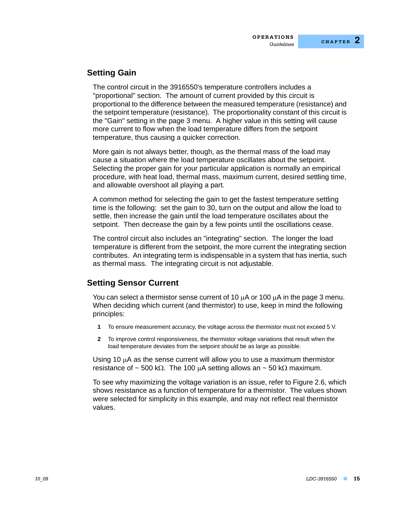#### **Setting Gain**

The control circuit in the 3916550's temperature controllers includes a "proportional" section. The amount of current provided by this circuit is proportional to the difference between the measured temperature (resistance) and the setpoint temperature (resistance). The proportionality constant of this circuit is the "Gain" setting in the page 3 menu. A higher value in this setting will cause more current to flow when the load temperature differs from the setpoint temperature, thus causing a quicker correction.

More gain is not always better, though, as the thermal mass of the load may cause a situation where the load temperature oscillates about the setpoint. Selecting the proper gain for your particular application is normally an empirical procedure, with heat load, thermal mass, maximum current, desired settling time, and allowable overshoot all playing a part.

A common method for selecting the gain to get the fastest temperature settling time is the following: set the gain to 30, turn on the output and allow the load to settle, then increase the gain until the load temperature oscillates about the setpoint. Then decrease the gain by a few points until the oscillations cease.

The control circuit also includes an "integrating" section. The longer the load temperature is different from the setpoint, the more current the integrating section contributes. An integrating term is indispensable in a system that has inertia, such as thermal mass. The integrating circuit is not adjustable.

### **Setting Sensor Current**

You can select a thermistor sense current of 10  $\mu$ A or 100  $\mu$ A in the page 3 menu. When deciding which current (and thermistor) to use, keep in mind the following principles:

- **1** To ensure measurement accuracy, the voltage across the thermistor must not exceed 5 V.
- **2** To improve control responsiveness, the thermistor voltage variations that result when the load temperature deviates from the setpoint should be as large as possible.

Using 10  $\mu$ A as the sense current will allow you to use a maximum thermistor resistance of  $\sim$  500 k $\Omega$ . The 100 µA setting allows an  $\sim$  50 k $\Omega$  maximum.

To see why maximizing the voltage variation is an issue, refer to Figure 2.6, which shows resistance as a function of temperature for a thermistor. The values shown were selected for simplicity in this example, and may not reflect real thermistor values.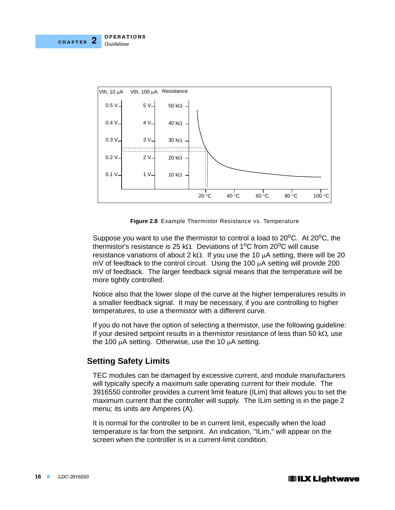

**Figure 2.8** Example Thermistor Resistance vs. Temperature

Suppose you want to use the thermistor to control a load to  $20^{\circ}$ C. At  $20^{\circ}$ C, the thermistor's resistance is 25 k $\Omega$ . Deviations of 1<sup>o</sup>C from 20<sup>o</sup>C will cause resistance variations of about 2 k $\Omega$ . If you use the 10  $\mu$ A setting, there will be 20  $mV$  of feedback to the control circuit. Using the 100  $\mu A$  setting will provide 200 mV of feedback. The larger feedback signal means that the temperature will be more tightly controlled.

Notice also that the lower slope of the curve at the higher temperatures results in a smaller feedback signal. It may be necessary, if you are controlling to higher temperatures, to use a thermistor with a different curve.

If you do not have the option of selecting a thermistor, use the following guideline: If your desired setpoint results in a thermistor resistance of less than 50 k $\Omega$ , use the 100  $\mu$ A setting. Otherwise, use the 10  $\mu$ A setting.

### **Setting Safety Limits**

TEC modules can be damaged by excessive current, and module manufacturers will typically specify a maximum safe operating current for their module. The 3916550 controller provides a current limit feature (ILim) that allows you to set the maximum current that the controller will supply. The ILim setting is in the page 2 menu; its units are Amperes (A).

It is normal for the controller to be in current limit, especially when the load temperature is far from the setpoint. An indication, "ILim," will appear on the screen when the controller is in a current-limit condition.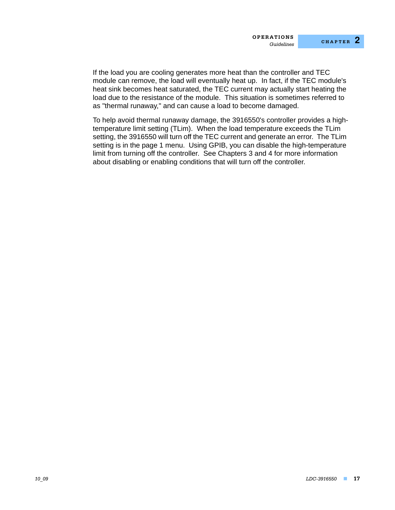If the load you are cooling generates more heat than the controller and TEC module can remove, the load will eventually heat up. In fact, if the TEC module's heat sink becomes heat saturated, the TEC current may actually start heating the load due to the resistance of the module. This situation is sometimes referred to as "thermal runaway," and can cause a load to become damaged.

To help avoid thermal runaway damage, the 3916550's controller provides a hightemperature limit setting (TLim). When the load temperature exceeds the TLim setting, the 3916550 will turn off the TEC current and generate an error. The TLim setting is in the page 1 menu. Using GPIB, you can disable the high-temperature limit from turning off the controller. See Chapters 3 and 4 for more information about disabling or enabling conditions that will turn off the controller.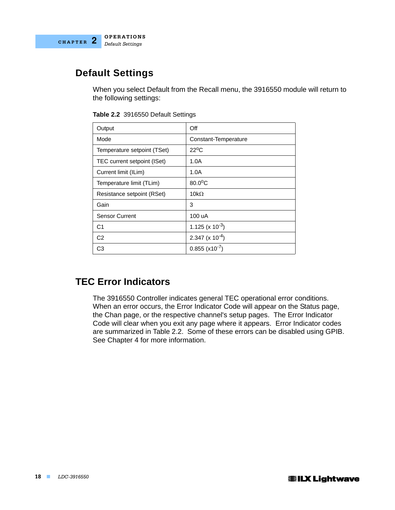

### **Default Settings**

When you select Default from the Recall menu, the 3916550 module will return to the following settings:

| Output                      | Off                                 |
|-----------------------------|-------------------------------------|
| Mode                        | Constant-Temperature                |
| Temperature setpoint (TSet) | $22^{\circ}$ C                      |
| TEC current setpoint (ISet) | 1.0A                                |
| Current limit (ILim)        | 1.0A                                |
| Temperature limit (TLim)    | $80.0$ <sup>o</sup> C               |
| Resistance setpoint (RSet)  | 10k $\Omega$                        |
| Gain                        | 3                                   |
| <b>Sensor Current</b>       | 100 uA                              |
| C <sub>1</sub>              | 1.125 (x $10^{-3}$ )                |
| C <sub>2</sub>              | 2.347 ( $\times$ 10 <sup>-4</sup> ) |
| CЗ                          | $0.855 (x10^{-7})$                  |

### **TEC Error Indicators**

The 3916550 Controller indicates general TEC operational error conditions. When an error occurs, the Error Indicator Code will appear on the Status page, the Chan page, or the respective channel's setup pages. The Error Indicator Code will clear when you exit any page where it appears. Error Indicator codes are summarized in Table 2.2. Some of these errors can be disabled using GPIB. See Chapter 4 for more information.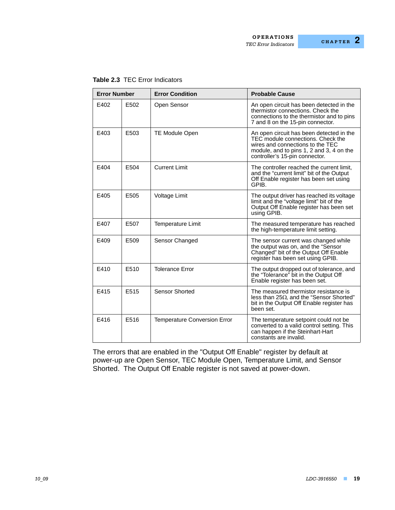| <b>Error Number</b> |      | <b>Error Condition</b>              | <b>Probable Cause</b>                                                                                                                                                                           |  |
|---------------------|------|-------------------------------------|-------------------------------------------------------------------------------------------------------------------------------------------------------------------------------------------------|--|
| F402                | E502 | Open Sensor                         | An open circuit has been detected in the<br>thermistor connections. Check the<br>connections to the thermistor and to pins<br>7 and 8 on the 15-pin connector.                                  |  |
| E403                | E503 | <b>TE Module Open</b>               | An open circuit has been detected in the<br>TEC module connections. Check the<br>wires and connections to the TEC<br>module, and to pins 1, 2 and 3, 4 on the<br>controller's 15-pin connector. |  |
| E404                | E504 | <b>Current Limit</b>                | The controller reached the current limit,<br>and the "current limit" bit of the Output<br>Off Enable register has been set using<br>GPIB.                                                       |  |
| E405                | E505 | Voltage Limit                       | The output driver has reached its voltage<br>limit and the "voltage limit" bit of the<br>Output Off Enable register has been set<br>using GPIB.                                                 |  |
| F407                | F507 | <b>Temperature Limit</b>            | The measured temperature has reached<br>the high-temperature limit setting.                                                                                                                     |  |
| E409                | E509 | Sensor Changed                      | The sensor current was changed while<br>the output was on, and the "Sensor<br>Changed" bit of the Output Off Enable<br>register has been set using GPIB.                                        |  |
| E410                | E510 | <b>Tolerance Error</b>              | The output dropped out of tolerance, and<br>the "Tolerance" bit in the Output Off<br>Enable register has been set.                                                                              |  |
| E415                | E515 | <b>Sensor Shorted</b>               | The measured thermistor resistance is<br>less than $25\Omega$ , and the "Sensor Shorted"<br>bit in the Output Off Enable register has<br>been set.                                              |  |
| F416                | F516 | <b>Temperature Conversion Error</b> | The temperature setpoint could not be<br>converted to a valid control setting. This<br>can happen if the Steinhart-Hart<br>constants are invalid.                                               |  |

|  | <b>Table 2.3 TEC Error Indicators</b> |  |
|--|---------------------------------------|--|
|--|---------------------------------------|--|

The errors that are enabled in the "Output Off Enable" register by default at power-up are Open Sensor, TEC Module Open, Temperature Limit, and Sensor Shorted. The Output Off Enable register is not saved at power-down.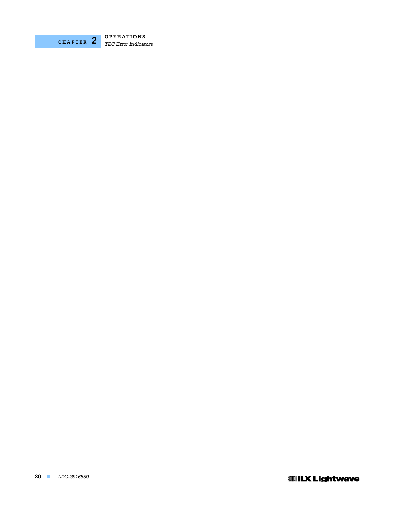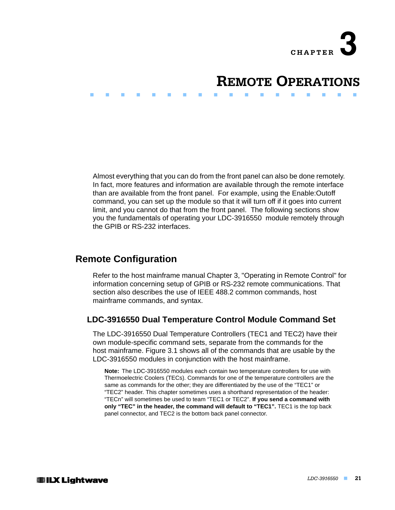

# **REMOTE OPERATIONS**

Almost everything that you can do from the front panel can also be done remotely. In fact, more features and information are available through the remote interface than are available from the front panel. For example, using the Enable:Outoff command, you can set up the module so that it will turn off if it goes into current limit, and you cannot do that from the front panel. The following sections show you the fundamentals of operating your LDC-3916550 module remotely through the GPIB or RS-232 interfaces.

. . . . . . . . . . . . . . . . . . .

### **Remote Configuration**

Refer to the host mainframe manual Chapter 3, "Operating in Remote Control" for information concerning setup of GPIB or RS-232 remote communications. That section also describes the use of IEEE 488.2 common commands, host mainframe commands, and syntax.

#### **LDC-3916550 Dual Temperature Control Module Command Set**

The LDC-3916550 Dual Temperature Controllers (TEC1 and TEC2) have their own module-specific command sets, separate from the commands for the host mainframe. Figure 3.1 shows all of the commands that are usable by the LDC-3916550 modules in conjunction with the host mainframe.

**Note:** The LDC-3916550 modules each contain two temperature controllers for use with Thermoelectric Coolers (TECs). Commands for one of the temperature controllers are the same as commands for the other; they are differentiated by the use of the "TEC1" or "TEC2" header. This chapter sometimes uses a shorthand representation of the header: "TECn" will sometimes be used to team "TEC1 or TEC2". **If you send a command with only "TEC" in the header, the command will default to "TEC1".** TEC1 is the top back panel connector, and TEC2 is the bottom back panel connector.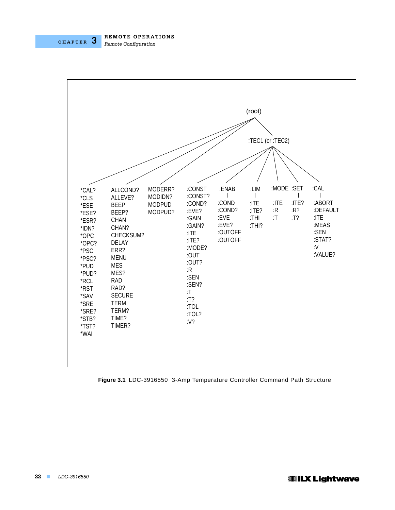



**Figure 3.1** LDC-3916550 3-Amp Temperature Controller Command Path Structure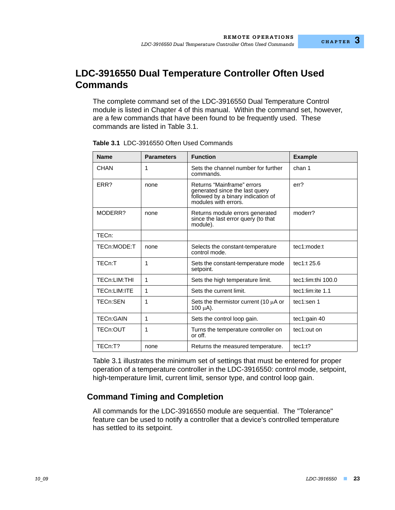## **LDC-3916550 Dual Temperature Controller Often Used Commands**

The complete command set of the LDC-3916550 Dual Temperature Control module is listed in Chapter 4 of this manual. Within the command set, however, are a few commands that have been found to be frequently used. These commands are listed in Table 3.1.

| <b>Name</b>  | <b>Parameters</b> | <b>Function</b>                                                                                                                    | <b>Example</b>         |
|--------------|-------------------|------------------------------------------------------------------------------------------------------------------------------------|------------------------|
| <b>CHAN</b>  | 1                 | Sets the channel number for further<br>commands.                                                                                   | chan 1                 |
| ERR?         | none              | Returns "Mainframe" errors<br>err?<br>generated since the last query<br>followed by a binary indication of<br>modules with errors. |                        |
| MODERR?      | none              | Returns module errors generated<br>since the last error query (to that<br>module).                                                 | moderr?                |
| TECn:        |                   |                                                                                                                                    |                        |
| TECn:MODE:T  | none              | Selects the constant-temperature<br>control mode.                                                                                  | tec1:mode:t            |
| TECn:T       | 1                 | Sets the constant-temperature mode<br>setpoint.                                                                                    | tec1:t 25.6            |
| TECn:LIM:THI | 1                 | Sets the high temperature limit.                                                                                                   | tec1: $lim:$ thi 100.0 |
| TECn:LIM:ITE | 1                 | Sets the current limit.                                                                                                            | tec1:lim:ite 1.1       |
| TECn:SEN     | 1                 | Sets the thermistor current (10 $\mu$ A or<br>100 $\mu$ A).                                                                        | tec1:sen 1             |
| TECn:GAIN    | 1                 | Sets the control loop gain.                                                                                                        | tec1:gain 40           |
| TECn:OUT     | 1                 | Turns the temperature controller on<br>or off.                                                                                     | tec1:out on            |
| TECn:T?      | none              | Returns the measured temperature.                                                                                                  | tec1:1?                |

| Table 3.1 LDC-3916550 Often Used Commands |  |
|-------------------------------------------|--|
|                                           |  |

Table 3.1 illustrates the minimum set of settings that must be entered for proper operation of a temperature controller in the LDC-3916550: control mode, setpoint, high-temperature limit, current limit, sensor type, and control loop gain.

### **Command Timing and Completion**

All commands for the LDC-3916550 module are sequential. The "Tolerance" feature can be used to notify a controller that a device's controlled temperature has settled to its setpoint.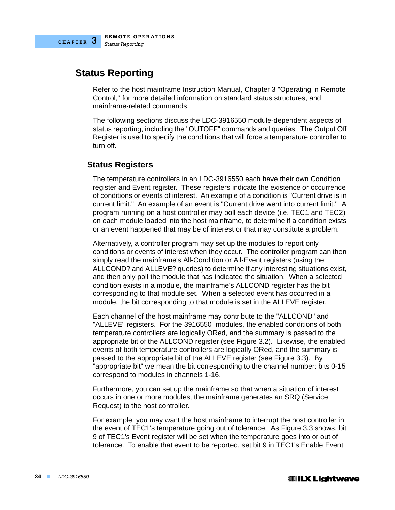## **Status Reporting**

Refer to the host mainframe Instruction Manual, Chapter 3 "Operating in Remote Control," for more detailed information on standard status structures, and mainframe-related commands.

The following sections discuss the LDC-3916550 module-dependent aspects of status reporting, including the "OUTOFF" commands and queries. The Output Off Register is used to specify the conditions that will force a temperature controller to turn off.

### **Status Registers**

The temperature controllers in an LDC-3916550 each have their own Condition register and Event register. These registers indicate the existence or occurrence of conditions or events of interest. An example of a condition is "Current drive is in current limit." An example of an event is "Current drive went into current limit." A program running on a host controller may poll each device (i.e. TEC1 and TEC2) on each module loaded into the host mainframe, to determine if a condition exists or an event happened that may be of interest or that may constitute a problem.

Alternatively, a controller program may set up the modules to report only conditions or events of interest when they occur. The controller program can then simply read the mainframe's All-Condition or All-Event registers (using the ALLCOND? and ALLEVE? queries) to determine if any interesting situations exist, and then only poll the module that has indicated the situation. When a selected condition exists in a module, the mainframe's ALLCOND register has the bit corresponding to that module set. When a selected event has occurred in a module, the bit corresponding to that module is set in the ALLEVE register.

Each channel of the host mainframe may contribute to the "ALLCOND" and "ALLEVE" registers. For the 3916550 modules, the enabled conditions of both temperature controllers are logically ORed, and the summary is passed to the appropriate bit of the ALLCOND register (see Figure 3.2). Likewise, the enabled events of both temperature controllers are logically ORed, and the summary is passed to the appropriate bit of the ALLEVE register (see Figure 3.3). By "appropriate bit" we mean the bit corresponding to the channel number: bits 0-15 correspond to modules in channels 1-16.

Furthermore, you can set up the mainframe so that when a situation of interest occurs in one or more modules, the mainframe generates an SRQ (Service Request) to the host controller.

For example, you may want the host mainframe to interrupt the host controller in the event of TEC1's temperature going out of tolerance. As Figure 3.3 shows, bit 9 of TEC1's Event register will be set when the temperature goes into or out of tolerance. To enable that event to be reported, set bit 9 in TEC1's Enable Event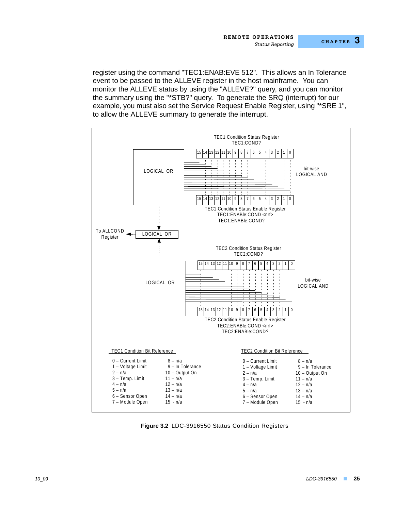register using the command "TEC1:ENAB:EVE 512". This allows an In Tolerance event to be passed to the ALLEVE register in the host mainframe. You can monitor the ALLEVE status by using the "ALLEVE?" query, and you can monitor the summary using the "\*STB?" query. To generate the SRQ (interrupt) for our example, you must also set the Service Request Enable Register, using "\*SRE 1", to allow the ALLEVE summary to generate the interrupt.



**Figure 3.2** LDC-3916550 Status Condition Registers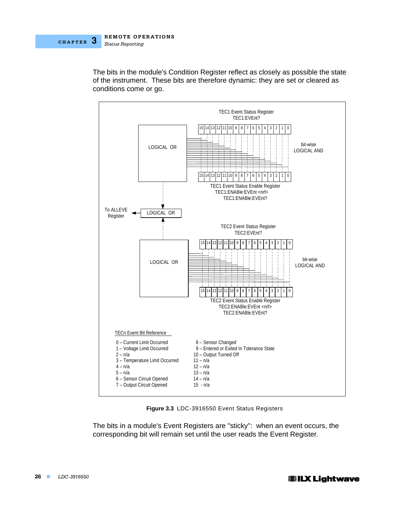The bits in the module's Condition Register reflect as closely as possible the state of the instrument. These bits are therefore dynamic: they are set or cleared as conditions come or go.



**Figure 3.3** LDC-3916550 Event Status Registers

The bits in a module's Event Registers are "sticky": when an event occurs, the corresponding bit will remain set until the user reads the Event Register.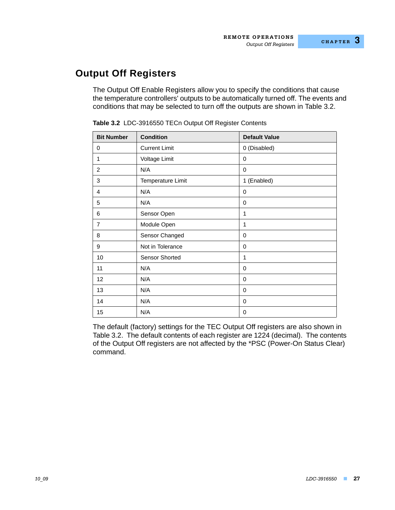## **Output Off Registers**

The Output Off Enable Registers allow you to specify the conditions that cause the temperature controllers' outputs to be automatically turned off. The events and conditions that may be selected to turn off the outputs are shown in Table 3.2.

| <b>Bit Number</b> | <b>Condition</b>     | <b>Default Value</b> |
|-------------------|----------------------|----------------------|
| 0                 | <b>Current Limit</b> | 0 (Disabled)         |
| 1                 | Voltage Limit        | 0                    |
| $\overline{2}$    | N/A                  | 0                    |
| 3                 | Temperature Limit    | 1 (Enabled)          |
| 4                 | N/A                  | 0                    |
| 5                 | N/A                  | 0                    |
| 6                 | Sensor Open          | 1                    |
| $\overline{7}$    | Module Open          | 1                    |
| 8                 | Sensor Changed       | 0                    |
| 9                 | Not in Tolerance     | 0                    |
| 10                | Sensor Shorted       | 1                    |
| 11                | N/A                  | 0                    |
| 12                | N/A                  | 0                    |
| 13                | N/A                  | 0                    |
| 14                | N/A                  | 0                    |
| 15                | N/A                  | 0                    |

**Table 3.2** LDC-3916550 TECn Output Off Register Contents

The default (factory) settings for the TEC Output Off registers are also shown in Table 3.2. The default contents of each register are 1224 (decimal). The contents of the Output Off registers are not affected by the \*PSC (Power-On Status Clear) command.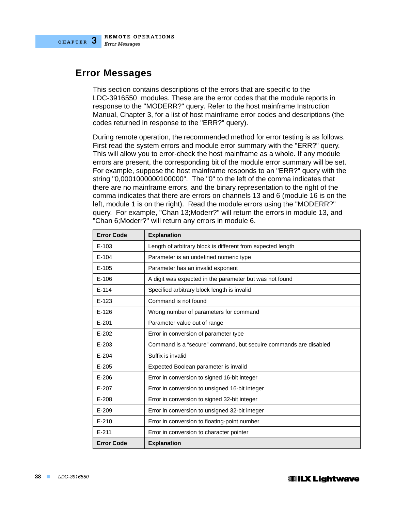## **Error Messages**

This section contains descriptions of the errors that are specific to the LDC-3916550 modules. These are the error codes that the module reports in response to the "MODERR?" query. Refer to the host mainframe Instruction Manual, Chapter 3, for a list of host mainframe error codes and descriptions (the codes returned in response to the "ERR?" query).

During remote operation, the recommended method for error testing is as follows. First read the system errors and module error summary with the "ERR?" query. This will allow you to error-check the host mainframe as a whole. If any module errors are present, the corresponding bit of the module error summary will be set. For example, suppose the host mainframe responds to an "ERR?" query with the string "0,0001000000100000". The "0" to the left of the comma indicates that there are no mainframe errors, and the binary representation to the right of the comma indicates that there are errors on channels 13 and 6 (module 16 is on the left, module 1 is on the right). Read the module errors using the "MODERR?" query. For example, "Chan 13;Moderr?" will return the errors in module 13, and "Chan 6;Moderr?" will return any errors in module 6.

| <b>Error Code</b> | <b>Explanation</b>                                               |
|-------------------|------------------------------------------------------------------|
| $E-103$           | Length of arbitrary block is different from expected length      |
| $E-104$           | Parameter is an undefined numeric type                           |
| $E-105$           | Parameter has an invalid exponent                                |
| $E-106$           | A digit was expected in the parameter but was not found          |
| $E-114$           | Specified arbitrary block length is invalid                      |
| $E-123$           | Command is not found                                             |
| $E-126$           | Wrong number of parameters for command                           |
| $E - 201$         | Parameter value out of range                                     |
| $E - 202$         | Error in conversion of parameter type                            |
| $E - 203$         | Command is a "secure" command, but secuire commands are disabled |
| $E - 204$         | Suffix is invalid                                                |
| $E - 205$         | Expected Boolean parameter is invalid                            |
| $E - 206$         | Error in conversion to signed 16-bit integer                     |
| $E - 207$         | Error in conversion to unsigned 16-bit integer                   |
| $E-208$           | Error in conversion to signed 32-bit integer                     |
| $E - 209$         | Error in conversion to unsigned 32-bit integer                   |
| $E - 210$         | Error in conversion to floating-point number                     |
| $E - 211$         | Error in conversion to character pointer                         |
| <b>Error Code</b> | <b>Explanation</b>                                               |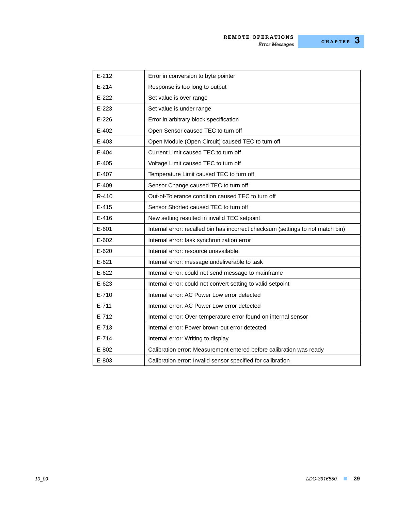### **REMOTE OPERATIONS**

*Error Messages*

## **CHAPTER 3**

| $E-212$   | Error in conversion to byte pointer                                             |
|-----------|---------------------------------------------------------------------------------|
| $E - 214$ | Response is too long to output                                                  |
| $E-222$   | Set value is over range                                                         |
| $E-223$   | Set value is under range                                                        |
| $E - 226$ | Error in arbitrary block specification                                          |
| $E - 402$ | Open Sensor caused TEC to turn off                                              |
| $E - 403$ | Open Module (Open Circuit) caused TEC to turn off                               |
| $E-404$   | Current Limit caused TEC to turn off                                            |
| $E-405$   | Voltage Limit caused TEC to turn off                                            |
| E-407     | Temperature Limit caused TEC to turn off                                        |
| E-409     | Sensor Change caused TEC to turn off                                            |
| R-410     | Out-of-Tolerance condition caused TEC to turn off                               |
| $E-415$   | Sensor Shorted caused TEC to turn off                                           |
| $E-416$   | New setting resulted in invalid TEC setpoint                                    |
| $E - 601$ | Internal error: recalled bin has incorrect checksum (settings to not match bin) |
| $E-602$   | Internal error: task synchronization error                                      |
| E-620     | Internal error: resource unavailable                                            |
| $E-621$   | Internal error: message undeliverable to task                                   |
| $E-622$   | Internal error: could not send message to mainframe                             |
| $E - 623$ | Internal error: could not convert setting to valid setpoint                     |
| $E - 710$ | Internal error: AC Power Low error detected                                     |
| $E - 711$ | Internal error: AC Power Low error detected                                     |
| $E - 712$ | Internal error: Over-temperature error found on internal sensor                 |
| E-713     | Internal error: Power brown-out error detected                                  |
| $E - 714$ | Internal error: Writing to display                                              |
| E-802     | Calibration error: Measurement entered before calibration was ready             |
| E-803     | Calibration error: Invalid sensor specified for calibration                     |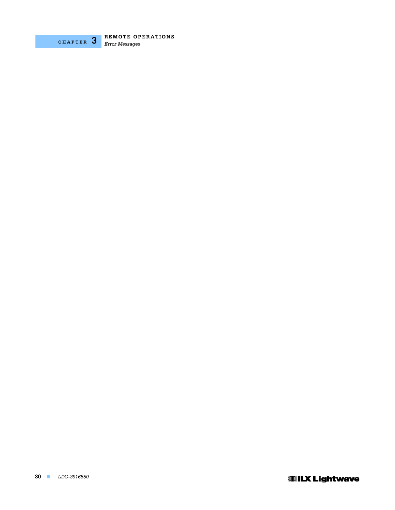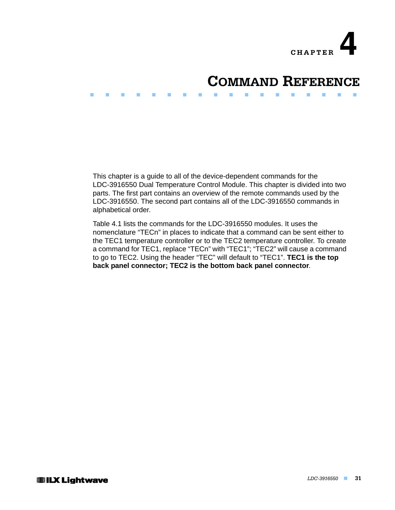

# **COMMAND REFERENCE**

This chapter is a guide to all of the device-dependent commands for the LDC-3916550 Dual Temperature Control Module. This chapter is divided into two parts. The first part contains an overview of the remote commands used by the LDC-3916550. The second part contains all of the LDC-3916550 commands in alphabetical order.

. . . . . . . . . . . . . . . . . . .

Table 4.1 lists the commands for the LDC-3916550 modules. It uses the nomenclature "TECn" in places to indicate that a command can be sent either to the TEC1 temperature controller or to the TEC2 temperature controller. To create a command for TEC1, replace "TECn" with "TEC1"; "TEC2" will cause a command to go to TEC2. Using the header "TEC" will default to "TEC1". **TEC1 is the top back panel connector; TEC2 is the bottom back panel connector**.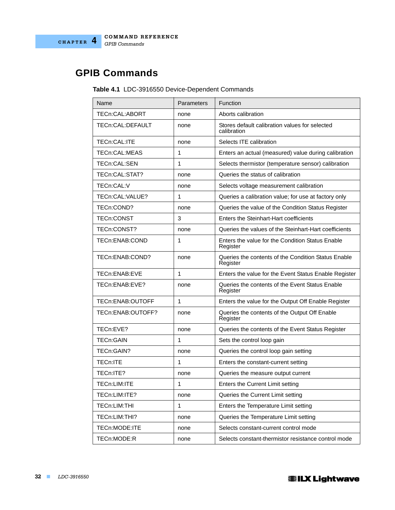

# **GPIB Commands**

|  | Table 4.1 LDC-3916550 Device-Dependent Commands |  |
|--|-------------------------------------------------|--|
|--|-------------------------------------------------|--|

| Name              | Parameters   | Function                                                        |
|-------------------|--------------|-----------------------------------------------------------------|
| TECn:CAL:ABORT    | none         | Aborts calibration                                              |
| TECn:CAL:DEFAULT  | none         | Stores default calibration values for selected<br>calibration   |
| TECn:CAL:ITE      | none         | Selects ITE calibration                                         |
| TECn:CAL:MEAS     | $\mathbf{1}$ | Enters an actual (measured) value during calibration            |
| TECn:CAL:SEN      | 1            | Selects thermistor (temperature sensor) calibration             |
| TECn:CAL:STAT?    | none         | Queries the status of calibration                               |
| TECn:CAL:V        | none         | Selects voltage measurement calibration                         |
| TECn:CAL:VALUE?   | 1            | Queries a calibration value; for use at factory only            |
| TECn:COND?        | none         | Queries the value of the Condition Status Register              |
| TECn:CONST        | 3            | Enters the Steinhart-Hart coefficients                          |
| TECn:CONST?       | none         | Queries the values of the Steinhart-Hart coefficients           |
| TECn:ENAB:COND    | 1            | Enters the value for the Condition Status Enable<br>Register    |
| TECn:ENAB:COND?   | none         | Queries the contents of the Condition Status Enable<br>Register |
| TECn:ENAB:EVE     | 1            | Enters the value for the Event Status Enable Register           |
| TECn:ENAB:EVE?    | none         | Queries the contents of the Event Status Enable<br>Register     |
| TECn:ENAB:OUTOFF  | $\mathbf{1}$ | Enters the value for the Output Off Enable Register             |
| TECn:ENAB:OUTOFF? | none         | Queries the contents of the Output Off Enable<br>Register       |
| TECn:EVE?         | none         | Queries the contents of the Event Status Register               |
| <b>TECn:GAIN</b>  | 1            | Sets the control loop gain                                      |
| TECn:GAIN?        | none         | Queries the control loop gain setting                           |
| TECn:ITE          | 1            | Enters the constant-current setting                             |
| TECn:ITE?         | none         | Queries the measure output current                              |
| TECn:LIM:ITE      | 1            | Enters the Current Limit setting                                |
| TECn:LIM:ITE?     | none         | Queries the Current Limit setting                               |
| TECn:LIM:THI      | $\mathbf{1}$ | Enters the Temperature Limit setting                            |
| TECn:LIM:THI?     | none         | Queries the Temperature Limit setting                           |
| TECn:MODE:ITE     | none         | Selects constant-current control mode                           |
| TECn:MODE:R       | none         | Selects constant-thermistor resistance control mode             |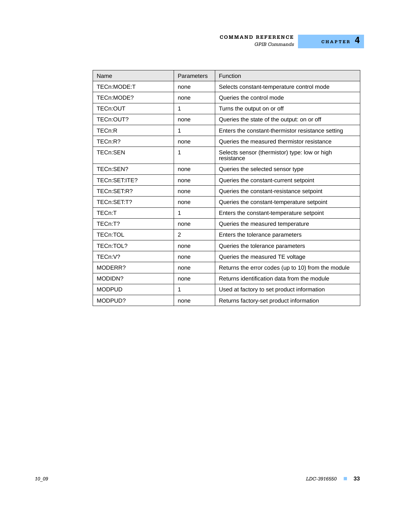#### **COMMAND REFERENCE**

*GPIB Commands*

| Name          | Parameters | <b>Function</b>                                             |
|---------------|------------|-------------------------------------------------------------|
| TECn:MODE:T   | none       | Selects constant-temperature control mode                   |
| TECn:MODE?    | none       | Queries the control mode                                    |
| TECn:OUT      | 1          | Turns the output on or off                                  |
| TECn:OUT?     | none       | Queries the state of the output: on or off                  |
| TECn:R        | 1          | Enters the constant-thermistor resistance setting           |
| TECn:R?       | none       | Queries the measured thermistor resistance                  |
| TECn:SEN      | 1          | Selects sensor (thermistor) type: low or high<br>resistance |
| TECn:SEN?     | none       | Queries the selected sensor type                            |
| TECn:SET:ITE? | none       | Queries the constant-current setpoint                       |
| TECn:SET:R?   | none       | Queries the constant-resistance setpoint                    |
| TECn:SET:T?   | none       | Queries the constant-temperature setpoint                   |
| TECn:T        | 1          | Enters the constant-temperature setpoint                    |
| TECn:T?       | none       | Queries the measured temperature                            |
| TECn:TOL      | 2          | Enters the tolerance parameters                             |
| TECn:TOL?     | none       | Queries the tolerance parameters                            |
| TECn:V?       | none       | Queries the measured TE voltage                             |
| MODERR?       | none       | Returns the error codes (up to 10) from the module          |
| MODIDN?       | none       | Returns identification data from the module                 |
| <b>MODPUD</b> | 1          | Used at factory to set product information                  |
| MODPUD?       | none       | Returns factory-set product information                     |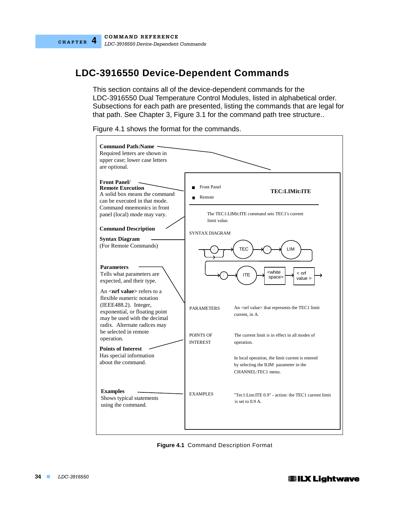## **LDC-3916550 Device-Dependent Commands**

This section contains all of the device-dependent commands for the LDC-3916550 Dual Temperature Control Modules, listed in alphabetical order. Subsections for each path are presented, listing the commands that are legal for that path. See Chapter 3, Figure 3.1 for the command path tree structure..



Figure 4.1 shows the format for the commands.

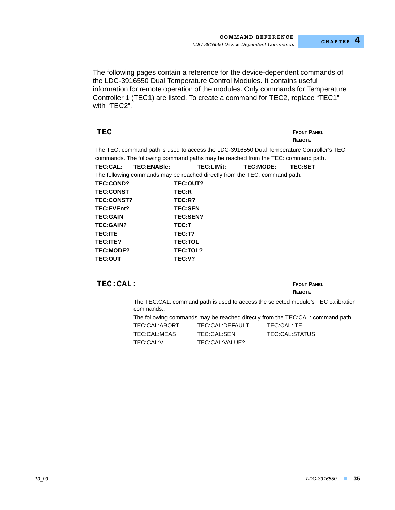The following pages contain a reference for the device-dependent commands of the LDC-3916550 Dual Temperature Control Modules. It contains useful information for remote operation of the modules. Only commands for Temperature Controller 1 (TEC1) are listed. To create a command for TEC2, replace "TEC1" with "TEC2".

| TEC                                                                                       |                   | <b>FRONT PANEL</b><br>REMOTE |                    |  |
|-------------------------------------------------------------------------------------------|-------------------|------------------------------|--------------------|--|
| The TEC: command path is used to access the LDC-3916550 Dual Temperature Controller's TEC |                   |                              |                    |  |
| commands. The following command paths may be reached from the TEC: command path.          |                   |                              |                    |  |
| <b>TEC:ENABle:</b><br><b>TEC:CAL:</b>                                                     | <b>TEC:LIMit:</b> | TEC:MODE:                    | <b>TEC:SET</b>     |  |
| The following commands may be reached directly from the TEC: command path.                |                   |                              |                    |  |
| <b>TEC:COND?</b>                                                                          | TEC:OUT?          |                              |                    |  |
| <b>TEC:CONST</b>                                                                          | TEC:R             |                              |                    |  |
| <b>TEC:CONST?</b>                                                                         | TEC:R?            |                              |                    |  |
| TEC:EVEnt?                                                                                | <b>TEC:SEN</b>    |                              |                    |  |
| <b>TEC:GAIN</b>                                                                           | TEC:SEN?          |                              |                    |  |
| <b>TEC:GAIN?</b>                                                                          | <b>TEC:T</b>      |                              |                    |  |
| <b>TEC:ITE</b>                                                                            | TEC:T?            |                              |                    |  |
| TEC:ITE?                                                                                  | <b>TEC:TOL</b>    |                              |                    |  |
| TEC:MODE?                                                                                 | TEC:TOL?          |                              |                    |  |
| <b>TEC:OUT</b>                                                                            | TEC:V?            |                              |                    |  |
|                                                                                           |                   |                              |                    |  |
| TEC: CAL:                                                                                 |                   |                              | <b>FRONT PANEL</b> |  |
|                                                                                           |                   |                              | <b>REMOTE</b>      |  |
|                                                                                           |                   |                              | . <del>. .</del> . |  |

The TEC:CAL: command path is used to access the selected module's TEC calibration commands..

The following commands may be reached directly from the TEC:CAL: command path.

| TEC:CAL:ABORT | TEC:CAL:DEFAULT | TEC:CAL:ITE    |
|---------------|-----------------|----------------|
| TEC:CAL:MEAS  | TEC:CAL:SEN     | TEC:CAL:STATUS |
| TEC:CAL:V     | TEC:CAL:VALUE?  |                |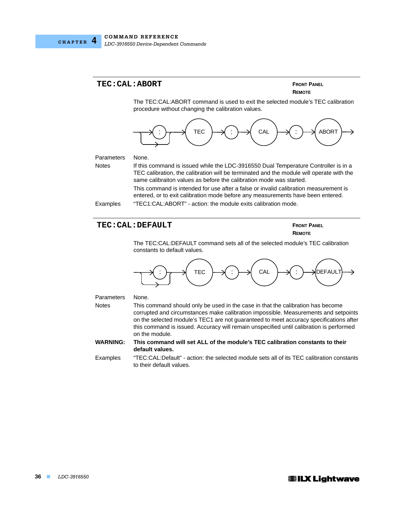

### **TEC: CAL: ABORT FRONT PANEL**

## **REMOTE**

The TEC:CAL:ABORT command is used to exit the selected module's TEC calibration procedure without changing the calibration values.



#### Parameters None.

Notes If this command is issued while the LDC-3916550 Dual Temperature Controller is in a TEC calibration, the calibration will be terminated and the module will operate with the same calibraiton values as before the calibration mode was started. This command is intended for use after a false or invalid calibration measurement is entered, or to exit calibration mode before any measurements have been entered. Examples "TEC1:CAL:ABORT" - action: the module exits calibration mode.

### **TEC: CAL: DEFAULT FRONT PANEL**

**REMOTE**

The TEC:CAL:DEFAULT command sets all of the selected module's TEC calibration constants to default values.



#### Parameters None.

Notes This command should only be used in the case in that the calibration has become corrupted and circumstances make calibration impossible. Measurements and setpoints on the selected module's TEC1 are not guaranteed to meet accuracy specifications after this command is issued. Accuracy will remain unspecified until calibration is performed on the module.

### **WARNING: This command will set ALL of the module's TEC calibration constants to their default values.**

Examples "TEC:CAL:Default" - action: the selected module sets all of its TEC calibration constants to their default values.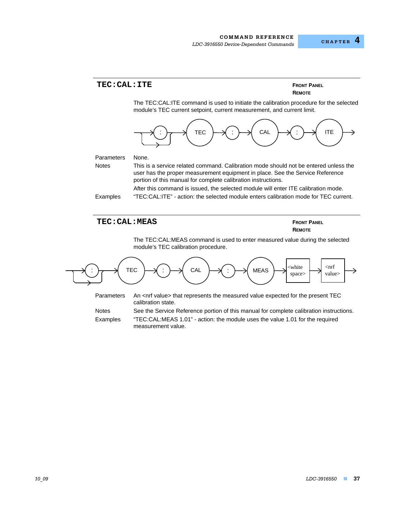

**TEC: CAL: MEAS FRONT PANEL** 

**REMOTE**

The TEC:CAL:MEAS command is used to enter measured value during the selected module's TEC calibration procedure.



Parameters An <nrf value> that represents the measured value expected for the present TEC calibration state.

Notes See the Service Reference portion of this manual for complete calibration instructions. Examples "TEC:CAL:MEAS 1.01" - action: the module uses the value 1.01 for the required measurement value.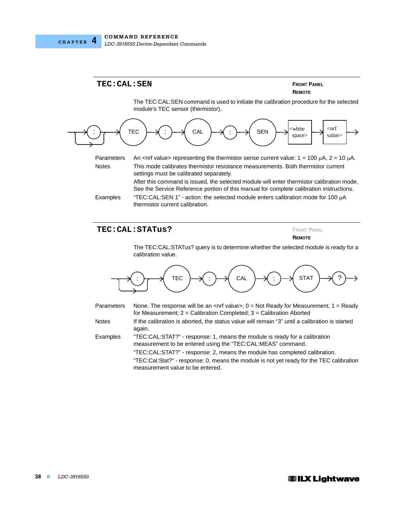



### **TEC: CAL: STATus?** FRONT PANEL

**REMOTE**

The TEC:CAL:STATus? query is to determine whether the selected module is ready for a calibration value.



| Parameters | None. The response will be an $\langle$ nrf value>; 0 = Not Ready for Measurement; 1 = Ready   |
|------------|------------------------------------------------------------------------------------------------|
|            | for Measurement; $2 =$ Calibration Completed; $3 =$ Calibration Aborted                        |
| Notes      | If the calibration is aborted, the status value will remain "3" until a calibration is started |
|            | again.                                                                                         |
|            |                                                                                                |

Examples "TEC:CAL:STAT?" - response: 1, means the module is ready for a calibration measurement to be entered using the "TEC:CAL:MEAS" command. "TEC:CAL:STAT?" - response: 2, means the module has completed calibration. "TEC:Cal:Stat?" - response: 0, means the module is not yet ready for the TEC calibration

measurement value to be entered.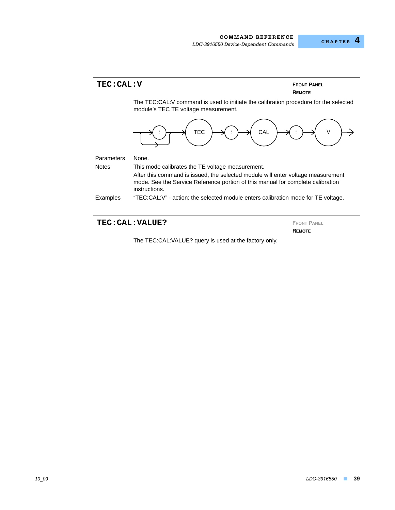# The TEC:CAL:V command is used to initiate the calibration procedure for the selected module's TEC TE voltage measurement. Parameters None. Notes This mode calibrates the TE voltage measurement. After this command is issued, the selected module will enter voltage measurement mode. See the Service Reference portion of this manual for complete calibration instructions. Examples "TEC:CAL:V" - action: the selected module enters calibration mode for TE voltage. **TEC: CAL: V FRONT PANEL REMOTE** : TEC : CAL : V

**TEC: CAL: VALUE? FRONT PANEL** 

**REMOTE**

The TEC:CAL:VALUE? query is used at the factory only.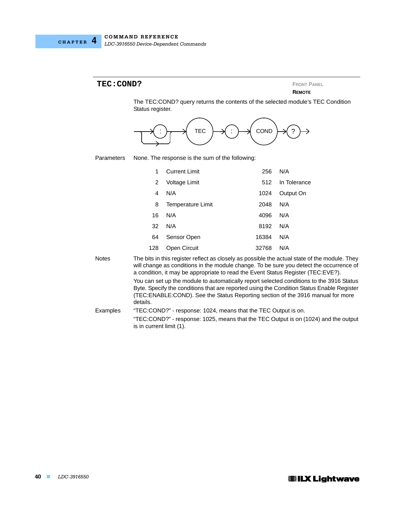### **TEC: COND? FRONT PANEL**

**REMOTE**

The TEC:COND? query returns the contents of the selected module's TEC Condition Status register.



Parameters None. The response is the sum of the following:

| 1                                                                                       | <b>Current Limit</b> | 256   | N/A          |
|-----------------------------------------------------------------------------------------|----------------------|-------|--------------|
| 2                                                                                       | Voltage Limit        | 512   | In Tolerance |
| 4                                                                                       | N/A                  | 1024  | Output On    |
| 8                                                                                       | Temperature Limit    | 2048  | N/A          |
| 16                                                                                      | N/A                  | 4096  | N/A          |
| 32                                                                                      | N/A                  | 8192  | N/A          |
| 64                                                                                      | Sensor Open          | 16384 | N/A          |
| 128                                                                                     | Open Circuit         | 32768 | N/A          |
| $\overline{a}$ bita in this register reflect as alocaly as pessible the potual state of |                      |       |              |

Notes The bits in this register reflect as closely as possible the actual state of the module. They will change as conditions in the module change. To be sure you detect the occurrence of a condition, it may be appropriate to read the Event Status Register (TEC:EVE?). You can set up the module to automatically report selected conditions to the 3916 Status Byte. Specify the conditions that are reported using the Condition Status Enable Register (TEC:ENABLE:COND). See the Status Reporting section of the 3916 manual for more details. Examples "TEC:COND?" - response: 1024, means that the TEC Output is on. "TEC:COND?" - response: 1025, means that the TEC Output is on (1024) and the output is in current limit (1).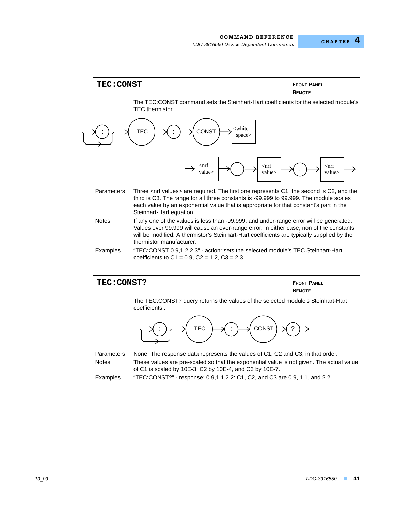### **TEC: CONST FRONT PANEL**

# **REMOTE**

The TEC:CONST command sets the Steinhart-Hart coefficients for the selected module's TEC thermistor.



- Parameters Three <nrf values> are required. The first one represents C1, the second is C2, and the third is C3. The range for all three constants is -99.999 to 99.999. The module scales each value by an exponential value that is appropriate for that constant's part in the Steinhart-Hart equation.
- Notes If any one of the values is less than -99.999, and under-range error will be generated. Values over 99.999 will cause an over-range error. In either case, non of the constants will be modified. A thermistor's Steinhart-Hart coefficients are typically supplied by the thermistor manufacturer.
- Examples "TEC:CONST 0.9,1.2,2.3" action: sets the selected module's TEC Steinhart-Hart coefficients to  $C1 = 0.9$ ,  $C2 = 1.2$ ,  $C3 = 2.3$ .

### **TEC: CONST? FRONT PANEL**

**REMOTE**

The TEC:CONST? query returns the values of the selected module's Steinhart-Hart coefficients..



| Parameters   | None. The response data represents the values of C1, C2 and C3, in that order.                                                                      |
|--------------|-----------------------------------------------------------------------------------------------------------------------------------------------------|
| <b>Notes</b> | These values are pre-scaled so that the exponential value is not given. The actual value<br>of C1 is scaled by 10E-3, C2 by 10E-4, and C3 by 10E-7. |
| Examples     | "TEC:CONST?" - response: 0.9,1.1,2.2: C1, C2, and C3 are 0.9, 1.1, and 2.2.                                                                         |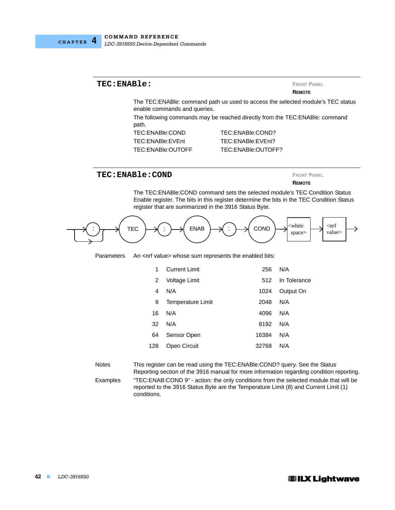

#### **TEC:ENABle: FRONT PANEL**

**REMOTE**

The TEC:ENABle: command path us used to access the selected module's TEC status enable commands and queries.

The following commands may be reached directly from the TEC:ENABle: command path.

TEC:ENABle:COND TEC:ENABle:COND? TEC:ENABle:EVEnt TEC:ENABle:EVEnt? TEC:ENABle:OUTOFF TEC:ENABle:OUTOFF?

### **TEC: ENABle: COND FRONT PANEL**

**REMOTE**

The TEC:ENABle:COND command sets the selected module's TEC Condition Status Enable register. The bits in this register determine the bits in the TEC Condition Status register that are summarized in the 3916 Status Byte.



Parameters An <nrf value> whose sum represents the enabled bits:

| 1   | Current Limit            | 256   | N/A          |
|-----|--------------------------|-------|--------------|
| 2   | Voltage Limit            | 512   | In Tolerance |
| 4   | N/A                      | 1024  | Output On    |
| 8   | <b>Temperature Limit</b> | 2048  | N/A          |
| 16  | N/A                      | 4096  | N/A          |
| 32  | N/A                      | 8192  | N/A          |
| 64  | Sensor Open              | 16384 | N/A          |
| 128 | Open Circuit             | 32768 | N/A          |

Notes This register can be read using the TEC:ENABle:COND? query. See the Status Reporting section of the 3916 manual for more information regarding condition reporting. Examples "TEC:ENAB:COND 9" - action: the only conditions from the selected module that will be reported to the 3916 Status Byte are the Temperature Limit (8) and Current Limit (1) conditions.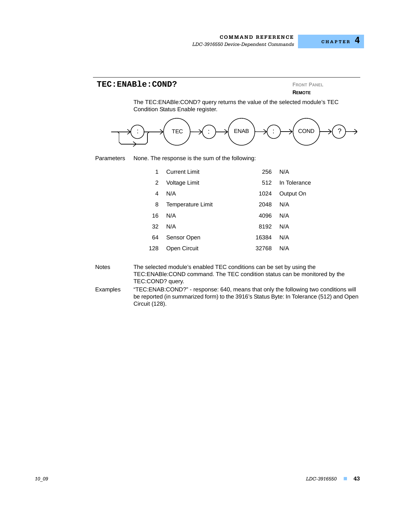### **TEC:ENABle:COND? FRONT PANEL**

### **REMOTE**

The TEC:ENABle:COND? query returns the value of the selected module's TEC Condition Status Enable register.



Parameters None. The response is the sum of the following:

| 1   | <b>Current Limit</b>     | 256   | N/A          |
|-----|--------------------------|-------|--------------|
| 2   | Voltage Limit            | 512   | In Tolerance |
| 4   | N/A                      | 1024  | Output On    |
| 8   | <b>Temperature Limit</b> | 2048  | N/A          |
| 16  | N/A                      | 4096  | N/A          |
| 32  | N/A                      | 8192  | N/A          |
| 64  | Sensor Open              | 16384 | N/A          |
| 128 | Open Circuit             | 32768 | N/A          |

- Notes The selected module's enabled TEC conditions can be set by using the TEC:ENABle:COND command. The TEC condition status can be monitored by the TEC:COND? query.
- Examples "TEC:ENAB:COND?" response: 640, means that only the following two conditions will be reported (in summarized form) to the 3916's Status Byte: In Tolerance (512) and Open Circuit (128).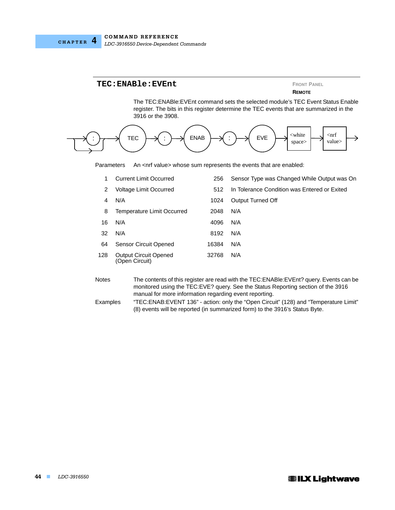

### **TEC: ENABle: EVEnt**

**REMOTE**

The TEC:ENABle:EVEnt command sets the selected module's TEC Event Status Enable register. The bits in this register determine the TEC events that are summarized in the 3916 or the 3908.



Parameters An <nrf value> whose sum represents the events that are enabled:

| 1   | <b>Current Limit Occurred</b>                  | 256   | Sensor Type was Changed While Output was On  |
|-----|------------------------------------------------|-------|----------------------------------------------|
| 2   | Voltage Limit Occurred                         | 512   | In Tolerance Condition was Entered or Exited |
| 4   | N/A                                            | 1024  | Output Turned Off                            |
| 8   | Temperature Limit Occurred                     | 2048  | N/A                                          |
| 16  | N/A                                            | 4096  | N/A                                          |
| 32  | N/A                                            | 8192  | N/A                                          |
| 64  | <b>Sensor Circuit Opened</b>                   | 16384 | N/A                                          |
| 128 | <b>Output Circuit Opened</b><br>(Open Circuit) | 32768 | N/A                                          |

Notes The contents of this register are read with the TEC:ENABle:EVEnt? query. Events can be monitored using the TEC:EVE? query. See the Status Reporting section of the 3916 manual for more information regarding event reporting.

Examples "TEC:ENAB:EVENT 136" - action: only the "Open Circuit" (128) and "Temperature Limit" (8) events will be reported (in summarized form) to the 3916's Status Byte.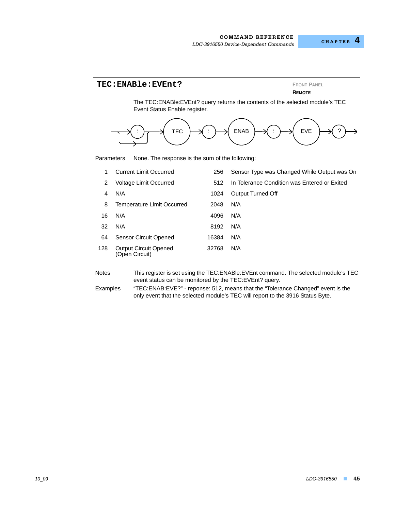### **TEC: ENABle: EVEnt? FRONT PANEL**

**REMOTE**

The TEC:ENABle:EVEnt? query returns the contents of the selected module's TEC Event Status Enable register.



Parameters None. The response is the sum of the following:

|     | <b>Current Limit Occurred</b>                  | 256   | Sensor Type was Changed While Output was On  |
|-----|------------------------------------------------|-------|----------------------------------------------|
| 2   | Voltage Limit Occurred                         | 512   | In Tolerance Condition was Entered or Exited |
| 4   | N/A                                            | 1024  | Output Turned Off                            |
| 8   | Temperature Limit Occurred                     | 2048  | N/A                                          |
| 16  | N/A                                            | 4096  | N/A                                          |
| 32  | N/A                                            | 8192  | N/A                                          |
| 64  | <b>Sensor Circuit Opened</b>                   | 16384 | N/A                                          |
| 128 | <b>Output Circuit Opened</b><br>(Open Circuit) | 32768 | N/A                                          |
|     |                                                |       |                                              |

- Notes This register is set using the TEC:ENABle:EVEnt command. The selected module's TEC event status can be monitored by the TEC:EVEnt? query.
- Examples "TEC:ENAB:EVE?" reponse: 512, means that the "Tolerance Changed" event is the only event that the selected module's TEC will report to the 3916 Status Byte.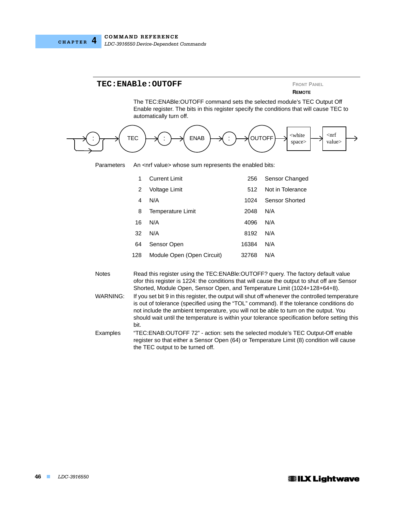

### **TEC:ENABle:OUTOFF FRONT PANEL**

**REMOTE**

The TEC:ENABle:OUTOFF command sets the selected module's TEC Output Off Enable register. The bits in this register specify the conditions that will cause TEC to automatically turn off.



Parameters An <nrf value> whose sum represents the enabled bits:

|     | <b>Current Limit</b>       | 256   | Sensor Changed   |
|-----|----------------------------|-------|------------------|
| 2   | Voltage Limit              | 512   | Not in Tolerance |
| 4   | N/A                        | 1024  | Sensor Shorted   |
| 8   | <b>Temperature Limit</b>   | 2048  | N/A              |
| 16  | N/A                        | 4096  | N/A              |
| 32  | N/A                        | 8192  | N/A              |
| 64  | Sensor Open                | 16384 | N/A              |
| 128 | Module Open (Open Circuit) | 32768 | N/A              |
|     |                            |       |                  |

Notes Read this register using the TEC: ENABle: OUTOFF? guery. The factory default value ofor this register is 1224: the conditions that will cause the output to shut off are Sensor Shorted, Module Open, Sensor Open, and Temperature Limit (1024+128+64+8).

WARNING: If you set bit 9 in this register, the output will shut off whenever the controlled temperature is out of tolerance (specified using the "TOL" command). If the tolerance conditions do not include the ambient temperature, you will not be able to turn on the output. You should wait until the temperature is within your tolerance specification before setting this bit.

Examples "TEC:ENAB:OUTOFF 72" - action: sets the selected module's TEC Output-Off enable register so that either a Sensor Open (64) or Temperature Limit (8) condition will cause the TEC output to be turned off.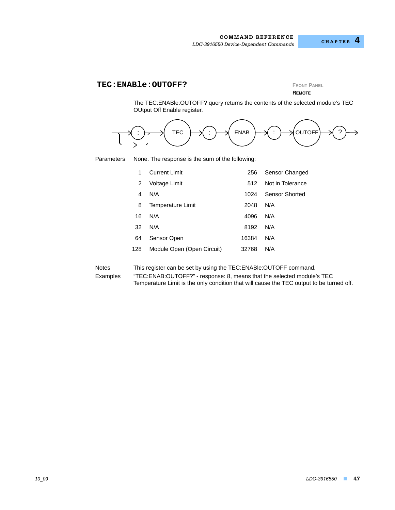### **TEC: ENABle: OUTOFF?** FRONT PANEL

**REMOTE**

The TEC:ENABle:OUTOFF? query returns the contents of the selected module's TEC OUtput Off Enable register.



Parameters None. The response is the sum of the following:

|     | Current Limit              | 256   | Sensor Changed   |
|-----|----------------------------|-------|------------------|
| 2   | Voltage Limit              | 512   | Not in Tolerance |
| 4   | N/A                        | 1024  | Sensor Shorted   |
| 8   | Temperature Limit          | 2048  | N/A              |
| 16  | N/A                        | 4096  | N/A              |
| 32  | N/A                        | 8192  | N/A              |
| 64  | Sensor Open                | 16384 | N/A              |
| 128 | Module Open (Open Circuit) | 32768 | N/A              |
|     |                            |       |                  |

Notes This register can be set by using the TEC:ENABle:OUTOFF command. Examples "TEC:ENAB:OUTOFF?" - response: 8, means that the selected module's TEC Temperature Limit is the only condition that will cause the TEC output to be turned off.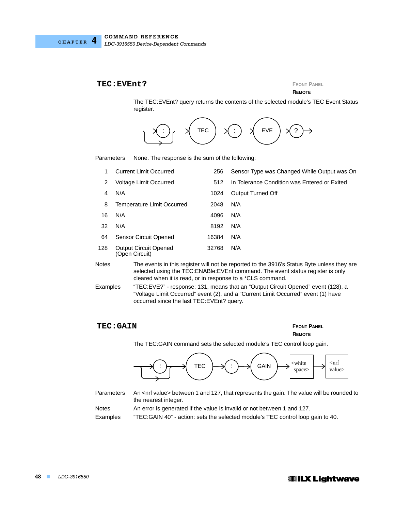### **TEC: EVENt? FROM PANEL**

**REMOTE**

The TEC:EVEnt? query returns the contents of the selected module's TEC Event Status register.



Parameters None. The response is the sum of the following:

|                                                                                              | <b>Current Limit Occurred</b>                                                                                                                                                                                                                | 256   | Sensor Type was Changed While Output was On  |
|----------------------------------------------------------------------------------------------|----------------------------------------------------------------------------------------------------------------------------------------------------------------------------------------------------------------------------------------------|-------|----------------------------------------------|
| 2                                                                                            | Voltage Limit Occurred                                                                                                                                                                                                                       | 512   | In Tolerance Condition was Entered or Exited |
| 4                                                                                            | N/A                                                                                                                                                                                                                                          | 1024  | Output Turned Off                            |
| 8                                                                                            | <b>Temperature Limit Occurred</b>                                                                                                                                                                                                            | 2048  | N/A                                          |
| 16                                                                                           | N/A                                                                                                                                                                                                                                          | 4096  | N/A                                          |
| 32                                                                                           | N/A                                                                                                                                                                                                                                          | 8192  | N/A                                          |
| 64                                                                                           | Sensor Circuit Opened                                                                                                                                                                                                                        | 16384 | N/A                                          |
| 128                                                                                          | <b>Output Circuit Opened</b><br>32768<br>(Open Circuit)                                                                                                                                                                                      |       | N/A                                          |
| Notes                                                                                        | The events in this register will not be reported to the 3916's Status Byte unless they are<br>selected using the TEC: ENABIe: EVEnt command. The event status register is only<br>cleared when it is read, or in response to a *CLS command. |       |                                              |
| Examples<br>"TEC:EVE?" - response: 131, means that an "Output Circuit Opened" event (128), a |                                                                                                                                                                                                                                              |       |                                              |

### "Voltage Limit Occurred" event (2), and a "Current Limit Occurred" event (1) have occurred since the last TEC:EVEnt? query.

### The TEC:GAIN command sets the selected module's TEC control loop gain. Parameters An <nrf value> between 1 and 127, that represents the gain. The value will be rounded to the nearest integer. Notes An error is generated if the value is invalid or not between 1 and 127. Examples "TEC:GAIN 40" - action: sets the selected module's TEC control loop gain to 40. **TEC: GAIN FRONT PANEL REMOTE** :  $\rightarrow$  TEC  $\rightarrow$  :  $\rightarrow$  GAIN  $\rightarrow$  subtite space> <nrf value>

### **IIIII ILX Lightwave**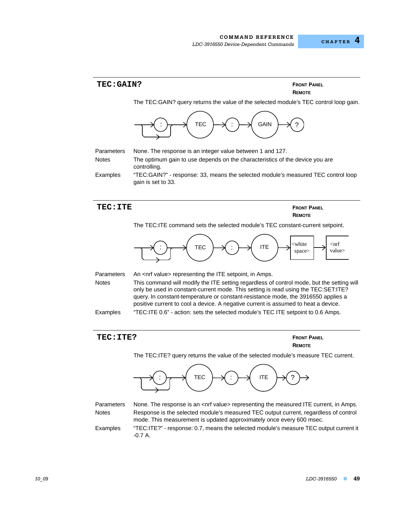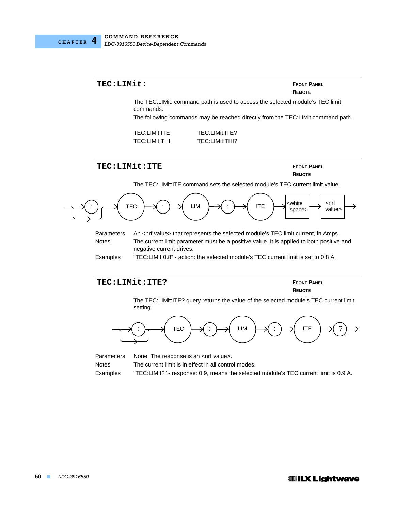



Parameters None. The response is an <nrf value>.

Notes The current limit is in effect in all control modes.

Examples "TEC:LIM:I?" - response: 0.9, means the selected module's TEC current limit is 0.9 A.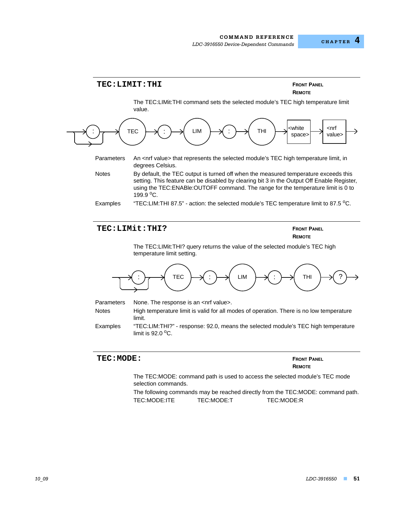

Notes High temperature limit is valid for all modes of operation. There is no low temperature limit.

Examples "TEC:LIM:THI?" - response: 92.0, means the selected module's TEC high temperature limit is  $92.0 °C$ .

The TEC:MODE: command path is used to access the selected module's TEC mode selection commands. The following commands may be reached directly from the TEC:MODE: command path. TEC:MODE:ITE TEC:MODE:T TEC:MODE:R **TEC: MODE: FRONT PANEL REMOTE**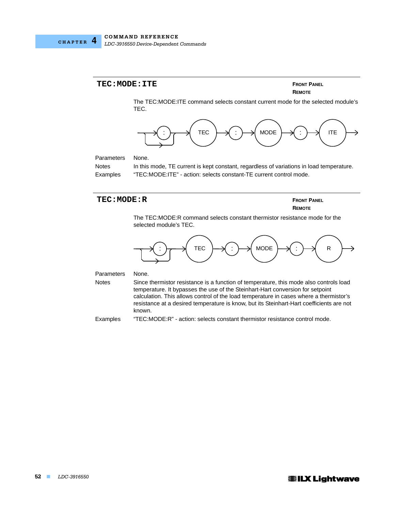

#### **TEC: MODE: ITE FRONT PANEL**

# **REMOTE**

The TEC:MODE:ITE command selects constant current mode for the selected module's TEC.



Parameters None.

Notes In this mode, TE current is kept constant, regardless of variations in load temperature. Examples "TEC:MODE:ITE" - action: selects constant-TE current control mode.

### **TEC:MODE: R FROM PANEL**

**REMOTE**

The TEC:MODE:R command selects constant thermistor resistance mode for the selected module's TEC.



Parameters None.

Notes Since thermistor resistance is a function of temperature, this mode also controls load temperature. It bypasses the use of the Steinhart-Hart conversion for setpoint calculation. This allows control of the load temperature in cases where a thermistor's resistance at a desired temperature is know, but its Steinhart-Hart coefficients are not known.

Examples "TEC:MODE:R" - action: selects constant thermistor resistance control mode.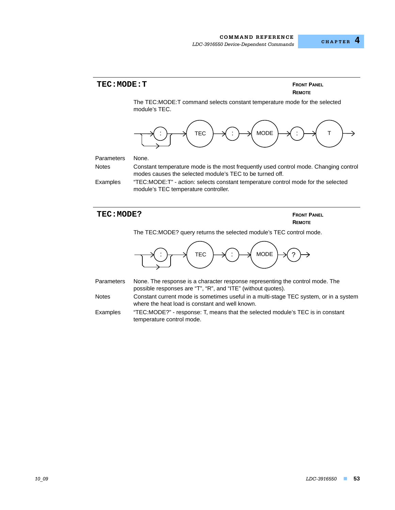# The TEC:MODE:T command selects constant temperature mode for the selected module's TEC. Parameters None. Notes Constant temperature mode is the most frequently used control mode. Changing control modes causes the selected module's TEC to be turned off. Examples "TEC:MODE:T" - action: selects constant temperature control mode for the selected module's TEC temperature controller. **REMOTE TEC: MODE? FROM PANEL REMOTE** : TEC : MODE : T

**TEC: MODE: T FRONT PANEL** 

The TEC:MODE? query returns the selected module's TEC control mode.



Parameters None. The response is a character response representing the control mode. The possible responses are "T", "R", and "ITE" (without quotes). Notes Constant current mode is sometimes useful in a multi-stage TEC system, or in a system where the heat load is constant and well known.

Examples "TEC:MODE?" - response: T, means that the selected module's TEC is in constant temperature control mode.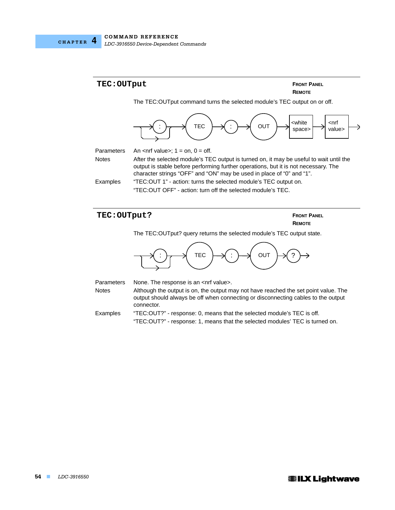

| TEC: OUTput  | <b>FRONT PANEL</b><br><b>REMOTE</b>                                                                                                                                                                                                                     |
|--------------|---------------------------------------------------------------------------------------------------------------------------------------------------------------------------------------------------------------------------------------------------------|
|              | The TEC:OUTput command turns the selected module's TEC output on or off.                                                                                                                                                                                |
|              | <white<br>≺nrf<br/>OUT<br/><b>TEC</b><br/>space&gt;<br/>value&gt;</white<br>                                                                                                                                                                            |
| Parameters   | An $\leq$ nrf value>; 1 = on, 0 = off.                                                                                                                                                                                                                  |
| <b>Notes</b> | After the selected module's TEC output is turned on, it may be useful to wait until the<br>output is stable before performing further operations, but it is not necessary. The<br>character strings "OFF" and "ON" may be used in place of "0" and "1". |
| Examples     | "TEC:OUT 1" - action: turns the selected module's TEC output on.<br>"TEC:OUT OFF" - action: turn off the selected module's TEC.                                                                                                                         |

**TEC: OUTput?** FRONT PANEL

**REMOTE**

The TEC:OUTput? query returns the selected module's TEC output state.



Parameters None. The response is an <nrf value>. Notes Although the output is on, the output may not have reached the set point value. The

output should always be off when connecting or disconnecting cables to the output connector.

Examples "TEC:OUT?" - response: 0, means that the selected module's TEC is off. "TEC:OUT?" - response: 1, means that the selected modules' TEC is turned on.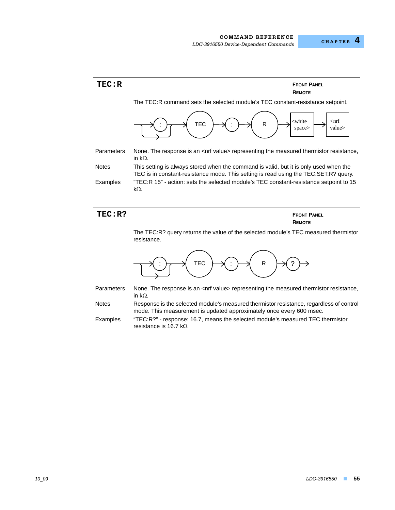

### **TEC: R? FRONT PANEL**

**REMOTE**

The TEC:R? query returns the value of the selected module's TEC measured thermistor resistance.



Parameters None. The response is an <nrf value> representing the measured thermistor resistance, in  $k\Omega$ .

Notes Response is the selected module's measured thermistor resistance, regardless of control mode. This measurement is updated approximately once every 600 msec.

Examples "TEC:R?" - response: 16.7, means the selected module's measured TEC thermistor resistance is 16.7 k $\Omega$ .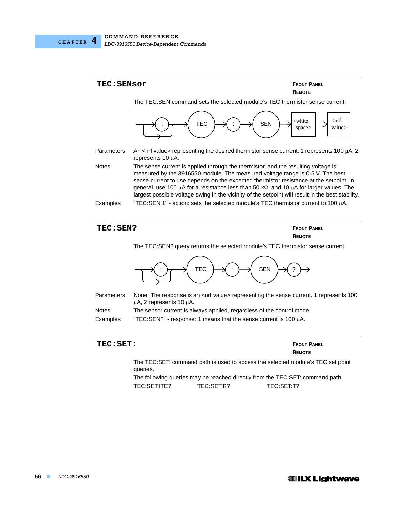

| <b>TEC: SENsor</b> |                                                                                                                                                                                                                                                                                                                                                                                                                                                                                | <b>FRONT PANEL</b><br><b>REMOTE</b>                   |
|--------------------|--------------------------------------------------------------------------------------------------------------------------------------------------------------------------------------------------------------------------------------------------------------------------------------------------------------------------------------------------------------------------------------------------------------------------------------------------------------------------------|-------------------------------------------------------|
|                    | The TEC:SEN command sets the selected module's TEC thermistor sense current.                                                                                                                                                                                                                                                                                                                                                                                                   |                                                       |
|                    | <b>SEN</b><br><b>TEC</b>                                                                                                                                                                                                                                                                                                                                                                                                                                                       | <white<br>∕nrf<br/>value&gt;<br/>space&gt;</white<br> |
| Parameters         | An $\alpha$ -nrf value> representing the desired thermistor sense current. 1 represents 100 $\mu$ A, 2<br>represents 10 µA.                                                                                                                                                                                                                                                                                                                                                    |                                                       |
| <b>Notes</b>       | The sense current is applied through the thermistor, and the resulting voltage is<br>measured by the 3916550 module. The measured voltage range is 0-5 V. The best<br>sense current to use depends on the expected thermistor resistance at the setpoint. In<br>general, use 100 $\mu$ A for a resistance less than 50 k $\Omega$ , and 10 $\mu$ A for larger values. The<br>largest possible voltage swing in the vicinity of the setpoint will result in the best stability. |                                                       |
| Examples           | "TEC:SEN 1" - action: sets the selected module's TEC thermistor current to 100 µA.                                                                                                                                                                                                                                                                                                                                                                                             |                                                       |
| TEC: SEN?          |                                                                                                                                                                                                                                                                                                                                                                                                                                                                                | <b>FRONT PANEL</b><br><b>REMOTE</b>                   |
|                    | The TEC: SEN? query returns the selected module's TEC thermistor sense current.                                                                                                                                                                                                                                                                                                                                                                                                |                                                       |
|                    | <b>TEC</b><br><b>SEN</b>                                                                                                                                                                                                                                                                                                                                                                                                                                                       |                                                       |

| Parameters   | None. The response is an <nr \,="" value=""> representing the sense current. 1 represents 100<br/><math>\mu</math>A, 2 represents 10 <math>\mu</math>A.</nr> |
|--------------|--------------------------------------------------------------------------------------------------------------------------------------------------------------|
| <b>Notes</b> | The sensor current is always applied, regardless of the control mode.                                                                                        |
| Examples     | "TEC: SEN?" - response: 1 means that the sense current is 100 $\mu$ A.                                                                                       |

| $\mathtt{TEC}$ : $\mathtt{SET}$ : |              |            | <b>FRONT PANEL</b><br><b>REMOTE</b>                                                         |  |
|-----------------------------------|--------------|------------|---------------------------------------------------------------------------------------------|--|
|                                   | queries.     |            | The TEC:SET: command path is used to access the selected module's TEC set point             |  |
|                                   | TEC:SET:ITE? | TEC:SET:R? | The following queries may be reached directly from the TEC:SET: command path.<br>TEC:SET:T? |  |
|                                   |              |            |                                                                                             |  |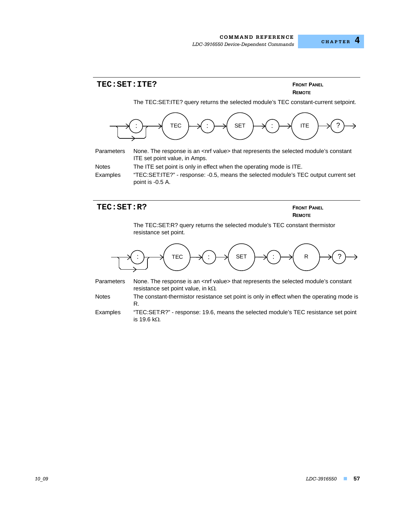

**TEC: SET: R? FROM PANEL** 

**REMOTE**

The TEC:SET:R? query returns the selected module's TEC constant thermistor resistance set point.



Parameters None. The response is an <nrf value> that represents the selected module's constant resistance set point value, in  $k\Omega$ .

Notes The constant-thermistor resistance set point is only in effect when the operating mode is R.

Examples "TEC:SET:R?" - response: 19.6, means the selected module's TEC resistance set point is 19.6 k $\Omega$ .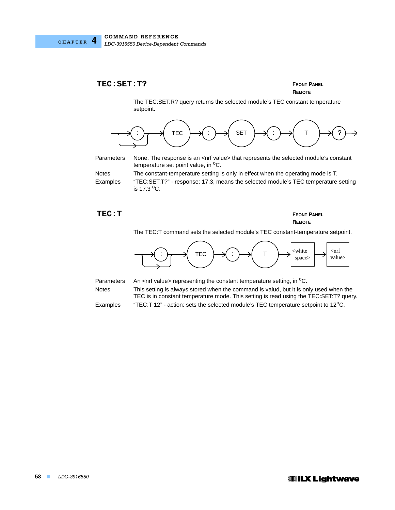



**TEC: T FRONT PANEL REMOTE**

The TEC:T command sets the selected module's TEC constant-temperature setpoint.



Parameters An <nrf value> representing the constant temperature setting, in  $^{\circ}$ C. Notes This setting is always stored when the command is valud, but it is only used when the TEC is in constant temperature mode. This setting is read using the TEC:SET:T? query. Examples "TEC:T 12" - action: sets the selected module's TEC temperature setpoint to 12°C.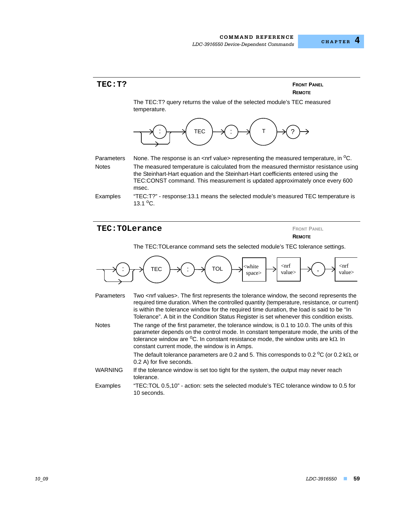

### **TEC: TOLerance** *FRONT PANEL*

**REMOTE**

The TEC:TOLerance command sets the selected module's TEC tolerance settings.



- Parameters Two <nrf values>. The first represents the tolerance window, the second represents the required time duration. When the controlled quantity (temperature, resistance, or current) is within the tolerance window for the required time duration, the load is said to be "In Tolerance". A bit in the Condition Status Register is set whenever this condition exists.
- Notes The range of the first parameter, the tolerance window, is 0.1 to 10.0. The units of this parameter depends on the control mode. In constant temperature mode, the units of the tolerance window are  ${}^{0}C$ . In constant resistance mode, the window units are k $\Omega$ . In constant current mode, the window is in Amps.

The default tolerance parameters are 0.2 and 5. This corresponds to 0.2  $\rm{^{\circ}C}$  (or 0.2 k $\Omega$ , or 0.2 A) for five seconds.

- WARNING If the tolerance window is set too tight for the system, the output may never reach tolerance.
- Examples "TEC:TOL 0.5,10" action: sets the selected module's TEC tolerance window to 0.5 for 10 seconds.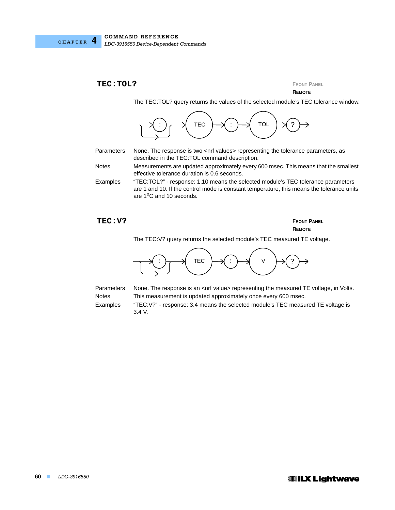

| <b>TEC:TOL?</b> | <b>FRONT PANEL</b><br><b>REMOTE</b>                                                                                                                                                                                   |
|-----------------|-----------------------------------------------------------------------------------------------------------------------------------------------------------------------------------------------------------------------|
|                 | The TEC:TOL? query returns the values of the selected module's TEC tolerance window.                                                                                                                                  |
|                 | <b>TEC</b><br>TOL                                                                                                                                                                                                     |
| Parameters      | None. The response is two <nrf values=""> representing the tolerance parameters, as<br/>described in the TEC:TOL command description.</nrf>                                                                           |
| <b>Notes</b>    | Measurements are updated approximately every 600 msec. This means that the smallest<br>effective tolerance duration is 0.6 seconds.                                                                                   |
| Examples        | "TEC:TOL?" - response: 1,10 means the selected module's TEC tolerance parameters<br>are 1 and 10. If the control mode is constant temperature, this means the tolerance units<br>are 1 <sup>o</sup> C and 10 seconds. |
| TEC:V?          | <b>FRONT PANEL</b><br><b>REMOTE</b>                                                                                                                                                                                   |
|                 | The TEC:V? query returns the selected module's TEC measured TE voltage.                                                                                                                                               |
|                 |                                                                                                                                                                                                                       |



Parameters None. The response is an <nrf value> representing the measured TE voltage, in Volts. Notes This measurement is updated approximately once every 600 msec.

Examples "TEC:V?" - response: 3.4 means the selected module's TEC measured TE voltage is 3.4 V.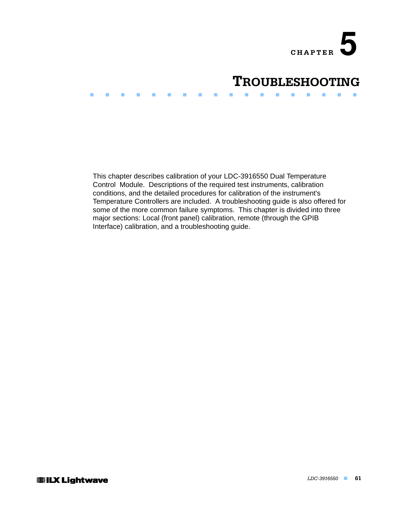

# **TROUBLESHOOTING**

This chapter describes calibration of your LDC-3916550 Dual Temperature Control Module. Descriptions of the required test instruments, calibration conditions, and the detailed procedures for calibration of the instrument's Temperature Controllers are included. A troubleshooting guide is also offered for some of the more common failure symptoms. This chapter is divided into three major sections: Local (front panel) calibration, remote (through the GPIB Interface) calibration, and a troubleshooting guide.

. . . . . . . . . . . . . . . . . . .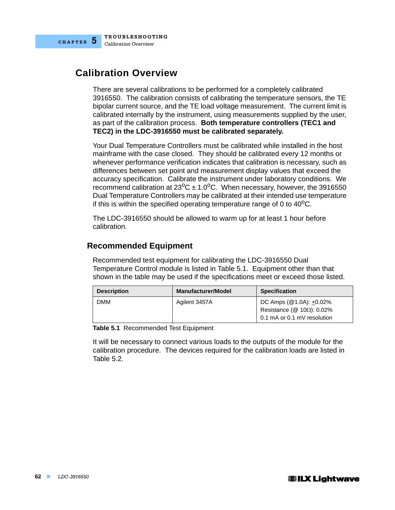

## **Calibration Overview**

There are several calibrations to be performed for a completely calibrated 3916550. The calibration consists of calibrating the temperature sensors, the TE bipolar current source, and the TE load voltage measurement. The current limit is calibrated internally by the instrument, using measurements supplied by the user, as part of the calibration process. **Both temperature controllers (TEC1 and TEC2) in the LDC-3916550 must be calibrated separately.**

Your Dual Temperature Controllers must be calibrated while installed in the host mainframe with the case closed. They should be calibrated every 12 months or whenever performance verification indicates that calibration is necessary, such as differences between set point and measurement display values that exceed the accuracy specification. Calibrate the instrument under laboratory conditions. We recommend calibration at  $23^{\circ}C \pm 1.0^{\circ}C$ . When necessary, however, the 3916550 Dual Temperature Controllers may be calibrated at their intended use temperature if this is within the specified operating temperature range of 0 to  $40^{\circ}$ C.

The LDC-3916550 should be allowed to warm up for at least 1 hour before calibration.

### **Recommended Equipment**

Recommended test equipment for calibrating the LDC-3916550 Dual Temperature Control module is listed in Table 5.1. Equipment other than that shown in the table may be used if the specifications meet or exceed those listed.

| <b>Description</b> | <b>Manufacturer/Model</b> | <b>Specification</b>                                                                               |
|--------------------|---------------------------|----------------------------------------------------------------------------------------------------|
| DMM                | Agilent 3457A             | DC Amps $(@1.0A)$ : +0.02%<br>Resistance ( $@$ 10 $\Omega$ ): 0.02%<br>0.1 mA or 0.1 mV resolution |

**Table 5.1** Recommended Test Equipment

It will be necessary to connect various loads to the outputs of the module for the calibration procedure. The devices required for the calibration loads are listed in Table 5.2.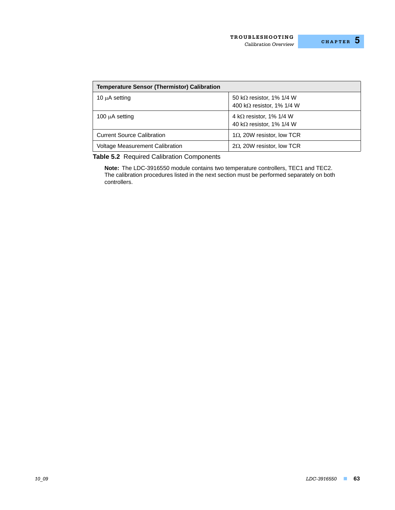| <b>Temperature Sensor (Thermistor) Calibration</b> |                                                                       |  |  |
|----------------------------------------------------|-----------------------------------------------------------------------|--|--|
| 10 µA setting                                      | 50 k $\Omega$ resistor, 1% 1/4 W<br>400 k $\Omega$ resistor, 1% 1/4 W |  |  |
| 100 µA setting                                     | 4 k $\Omega$ resistor, 1% 1/4 W<br>40 k $\Omega$ resistor, 1% 1/4 W   |  |  |
| <b>Current Source Calibration</b>                  | 1 $\Omega$ , 20W resistor, low TCR                                    |  |  |
| <b>Voltage Measurement Calibration</b>             | $2\Omega$ , 20W resistor, low TCR                                     |  |  |

**Table 5.2** Required Calibration Components

**Note:** The LDC-3916550 module contains two temperature controllers, TEC1 and TEC2. The calibration procedures listed in the next section must be performed separately on both controllers.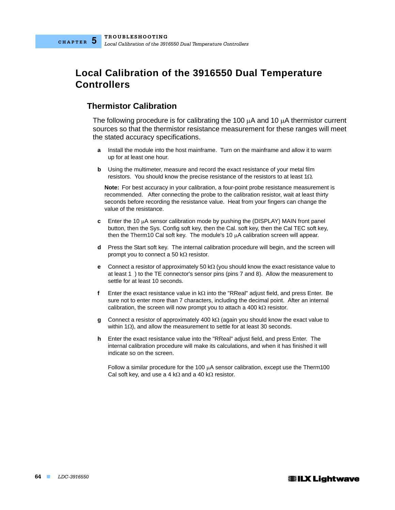## **Local Calibration of the 3916550 Dual Temperature Controllers**

### **Thermistor Calibration**

The following procedure is for calibrating the 100  $\mu$ A and 10  $\mu$ A thermistor current sources so that the thermistor resistance measurement for these ranges will meet the stated accuracy specifications.

- **a** Install the module into the host mainframe. Turn on the mainframe and allow it to warm up for at least one hour.
- **b** Using the multimeter, measure and record the exact resistance of your metal film resistors. You should know the precise resistance of the resistors to at least  $1\Omega$ .

**Note:** For best accuracy in your calibration, a four-point probe resistance measurement is recommended. After connecting the probe to the calibration resistor, wait at least thirty seconds before recording the resistance value. Heat from your fingers can change the value of the resistance.

- **c** Enter the 10 µA sensor calibration mode by pushing the (DISPLAY) MAIN front panel button, then the Sys. Config soft key, then the Cal. soft key, then the Cal TEC soft key, then the Therm10 Cal soft key. The module's 10  $\mu$ A calibration screen will appear.
- **d** Press the Start soft key. The internal calibration procedure will begin, and the screen will prompt you to connect a 50  $k\Omega$  resistor.
- **e** Connect a resistor of approximately 50 k $\Omega$  (you should know the exact resistance value to at least 1 ) to the TE connector's sensor pins (pins 7 and 8). Allow the measurement to settle for at least 10 seconds.
- **f** Enter the exact resistance value in  $k\Omega$  into the "RReal" adjust field, and press Enter. Be sure not to enter more than 7 characters, including the decimal point. After an internal calibration, the screen will now prompt you to attach a 400 k $\Omega$  resistor.
- **g** Connect a resistor of approximately 400 k $\Omega$  (again you should know the exact value to within 1 $\Omega$ ), and allow the measurement to settle for at least 30 seconds.
- **h** Enter the exact resistance value into the "RReal" adjust field, and press Enter. The internal calibration procedure will make its calculations, and when it has finished it will indicate so on the screen.

Follow a similar procedure for the 100  $\mu$ A sensor calibration, except use the Therm100 Cal soft key, and use a 4 k $\Omega$  and a 40 k $\Omega$  resistor.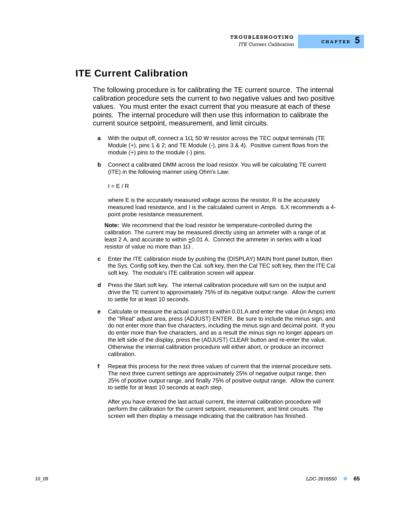## **ITE Current Calibration**

The following procedure is for calibrating the TE current source. The internal calibration procedure sets the current to two negative values and two positive values. You must enter the exact current that you measure at each of these points. The internal procedure will then use this information to calibrate the current source setpoint, measurement, and limit circuits.

- **a** With the output off, connect a  $1\Omega$ , 50 W resistor across the TEC output terminals (TE Module (+), pins 1 & 2; and TE Module (-), pins 3 & 4). Positive current flows from the module (+) pins to the module (-) pins.
- **b** Connect a calibrated DMM across the load resistor. You will be calculating TE current (ITE) in the following manner using Ohm's Law:

 $I = F / R$ 

where E is the accurately measured voltage across the resistor, R is the accurately measured load resistance, and I is the calculated current in Amps. ILX recommends a 4 point probe resistance measurement.

**Note:** We recommend that the load resistor be temperature-controlled during the calibration. The current may be measured directly using an ammeter with a range of at least 2 A, and accurate to within +0.01 A. Connect the ammeter in series with a load resistor of value no more than 1 $\Omega$ .

- **c** Enter the ITE calibration mode by pushing the (DISPLAY) MAIN front panel button, then the Sys. Config soft key, then the Cal. soft key, then the Cal TEC soft key, then the ITE Cal soft key. The module's ITE calibration screen will appear.
- **d** Press the Start soft key. The internal calibration procedure will turn on the output and drive the TE current to approximately 75% of its negative output range. Allow the current to settle for at least 10 seconds.
- **e** Calculate or measure the actual current to within 0.01 A and enter the value (in Amps) into the "IReal" adjust area, press (ADJUST) ENTER. Be sure to include the minus sign, and do not enter more than five characters, including the minus sign and decimal point. If you do enter more than five characters, and as a result the minus sign no longer appears on the left side of the display, press the (ADJUST) CLEAR button and re-enter the value. Otherwise the internal calibration procedure will either abort, or produce an incorrect calibration.
- **f** Repeat this process for the next three values of current that the internal procedure sets. The next three current settings are approximately 25% of negative output range, then 25% of positive output range, and finally 75% of positive output range. Allow the current to settle for at least 10 seconds at each step.

After you have entered the last actual current, the internal calibration procedure will perform the calibration for the current setpoint, measurement, and limit circuits. The screen will then display a message indicating that the calibration has finished.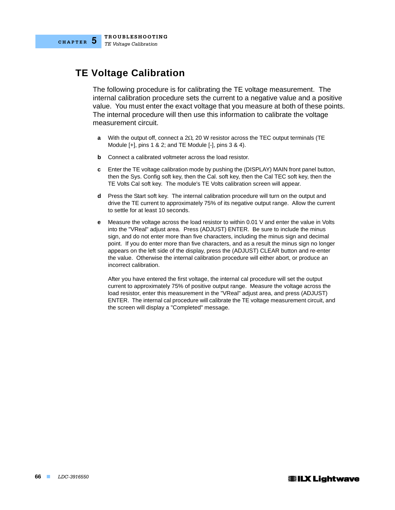## **TE Voltage Calibration**

The following procedure is for calibrating the TE voltage measurement. The internal calibration procedure sets the current to a negative value and a positive value. You must enter the exact voltage that you measure at both of these points. The internal procedure will then use this information to calibrate the voltage measurement circuit.

- **a** With the output off, connect a  $2\Omega$ , 20 W resistor across the TEC output terminals (TE Module [+], pins 1 & 2; and TE Module [-], pins 3 & 4).
- **b** Connect a calibrated voltmeter across the load resistor.
- **c** Enter the TE voltage calibration mode by pushing the (DISPLAY) MAIN front panel button, then the Sys. Config soft key, then the Cal. soft key, then the Cal TEC soft key, then the TE Volts Cal soft key. The module's TE Volts calibration screen will appear.
- **d** Press the Start soft key. The internal calibration procedure will turn on the output and drive the TE current to approximately 75% of its negative output range. Allow the current to settle for at least 10 seconds.
- **e** Measure the voltage across the load resistor to within 0.01 V and enter the value in Volts into the "VReal" adjust area. Press (ADJUST) ENTER. Be sure to include the minus sign, and do not enter more than five characters, including the minus sign and decimal point. If you do enter more than five characters, and as a result the minus sign no longer appears on the left side of the display, press the (ADJUST) CLEAR button and re-enter the value. Otherwise the internal calibration procedure will either abort, or produce an incorrect calibration.

After you have entered the first voltage, the internal cal procedure will set the output current to approximately 75% of positive output range. Measure the voltage across the load resistor, enter this measurement in the "VReal" adjust area, and press (ADJUST) ENTER. The internal cal procedure will calibrate the TE voltage measurement circuit, and the screen will display a "Completed" message.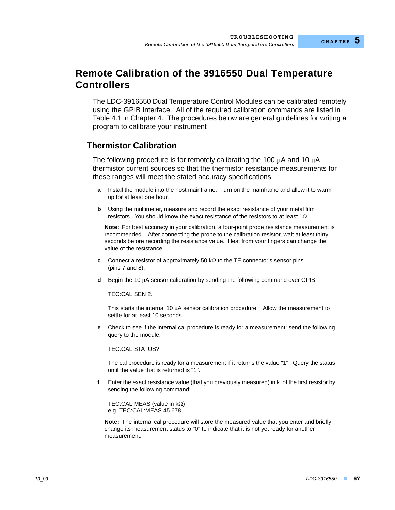## **Remote Calibration of the 3916550 Dual Temperature Controllers**

The LDC-3916550 Dual Temperature Control Modules can be calibrated remotely using the GPIB Interface. All of the required calibration commands are listed in Table 4.1 in Chapter 4. The procedures below are general guidelines for writing a program to calibrate your instrument

### **Thermistor Calibration**

The following procedure is for remotely calibrating the 100  $\mu$ A and 10  $\mu$ A thermistor current sources so that the thermistor resistance measurements for these ranges will meet the stated accuracy specifications.

- **a** Install the module into the host mainframe. Turn on the mainframe and allow it to warm up for at least one hour.
- **b** Using the multimeter, measure and record the exact resistance of your metal film resistors. You should know the exact resistance of the resistors to at least 1 $\Omega$ .

**Note:** For best accuracy in your calibration, a four-point probe resistance measurement is recommended. After connecting the probe to the calibration resistor, wait at least thirty seconds before recording the resistance value. Heat from your fingers can change the value of the resistance.

- **c** Connect a resistor of approximately 50 k $\Omega$  to the TE connector's sensor pins (pins 7 and 8).
- **d** Begin the 10 µA sensor calibration by sending the following command over GPIB:

TEC:CAL:SEN 2.

This starts the internal 10  $\mu$ A sensor calibration procedure. Allow the measurement to settle for at least 10 seconds.

**e** Check to see if the internal cal procedure is ready for a measurement: send the following query to the module:

TEC:CAL:STATUS?

The cal procedure is ready for a measurement if it returns the value "1". Query the status until the value that is returned is "1".

**f** Enter the exact resistance value (that you previously measured) in k of the first resistor by sending the following command:

TEC:CAL:MEAS (value in  $k\Omega$ ) e.g. TEC:CAL:MEAS 45.678

**Note:** The internal cal procedure will store the measured value that you enter and briefly change its measurement status to "0" to indicate that it is not yet ready for another measurement.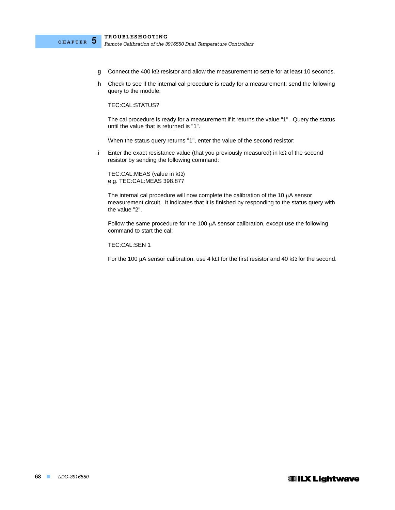

- **g** Connect the 400 k $\Omega$  resistor and allow the measurement to settle for at least 10 seconds.
- **h** Check to see if the internal cal procedure is ready for a measurement: send the following query to the module:

TEC:CAL:STATUS?

The cal procedure is ready for a measurement if it returns the value "1". Query the status until the value that is returned is "1".

When the status query returns "1", enter the value of the second resistor:

**i** Enter the exact resistance value (that you previously measured) in  $k\Omega$  of the second resistor by sending the following command:

TEC:CAL:MEAS (value in  $k\Omega$ ) e.g. TEC:CAL:MEAS 398.877

The internal cal procedure will now complete the calibration of the 10  $\mu$ A sensor measurement circuit. It indicates that it is finished by responding to the status query with the value "2".

Follow the same procedure for the 100  $\mu$ A sensor calibration, except use the following command to start the cal:

TEC:CAL:SEN 1

For the 100  $\mu$ A sensor calibration, use 4 k $\Omega$  for the first resistor and 40 k $\Omega$  for the second.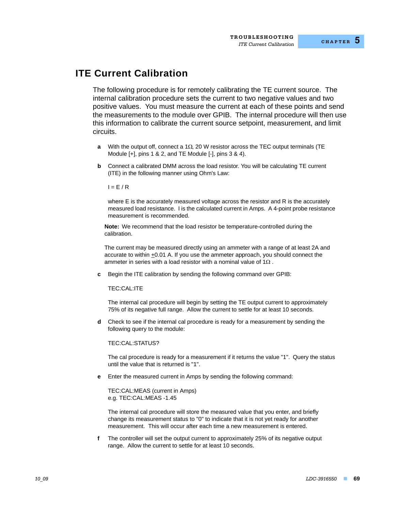## **ITE Current Calibration**

The following procedure is for remotely calibrating the TE current source. The internal calibration procedure sets the current to two negative values and two positive values. You must measure the current at each of these points and send the measurements to the module over GPIB. The internal procedure will then use this information to calibrate the current source setpoint, measurement, and limit circuits.

- **a** With the output off, connect a 1 $\Omega$ , 20 W resistor across the TEC output terminals (TE Module [+], pins 1 & 2, and TE Module [-], pins 3 & 4).
- **b** Connect a calibrated DMM across the load resistor. You will be calculating TE current (ITE) in the following manner using Ohm's Law:

 $I = E / R$ 

where E is the accurately measured voltage across the resistor and R is the accurately measured load resistance. I is the calculated current in Amps. A 4-point probe resistance measurement is recommended.

**Note:** We recommend that the load resistor be temperature-controlled during the calibration.

The current may be measured directly using an ammeter with a range of at least 2A and accurate to within +0.01 A. If you use the ammeter approach, you should connect the ammeter in series with a load resistor with a nominal value of  $1\Omega$ .

**c** Begin the ITE calibration by sending the following command over GPIB:

TEC:CAL:ITE

The internal cal procedure will begin by setting the TE output current to approximately 75% of its negative full range. Allow the current to settle for at least 10 seconds.

**d** Check to see if the internal cal procedure is ready for a measurement by sending the following query to the module:

#### TEC:CAL:STATUS?

The cal procedure is ready for a measurement if it returns the value "1". Query the status until the value that is returned is "1".

**e** Enter the measured current in Amps by sending the following command:

TEC:CAL:MEAS (current in Amps) e.g. TEC:CAL:MEAS -1.45

The internal cal procedure will store the measured value that you enter, and briefly change its measurement status to "0" to indicate that it is not yet ready for another measurement. This will occur after each time a new measurement is entered.

**f** The controller will set the output current to approximately 25% of its negative output range. Allow the current to settle for at least 10 seconds.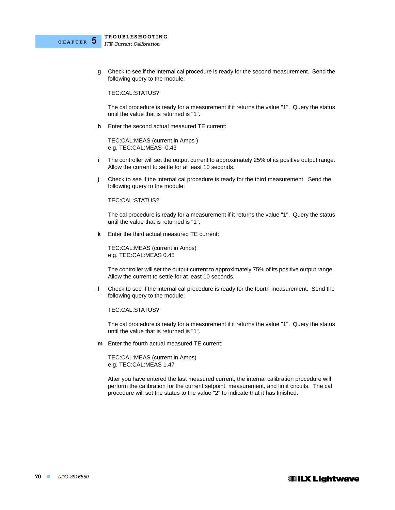

**g** Check to see if the internal cal procedure is ready for the second measurement. Send the following query to the module:

#### TEC:CAL:STATUS?

The cal procedure is ready for a measurement if it returns the value "1". Query the status until the value that is returned is "1".

**h** Enter the second actual measured TE current:

TEC:CAL:MEAS (current in Amps ) e.g. TEC:CAL:MEAS -0.43

- **i** The controller will set the output current to approximately 25% of its positive output range. Allow the current to settle for at least 10 seconds.
- **j** Check to see if the internal cal procedure is ready for the third measurement. Send the following query to the module:

TEC:CAL:STATUS?

The cal procedure is ready for a measurement if it returns the value "1". Query the status until the value that is returned is "1".

**k** Enter the third actual measured TE current:

TEC:CAL:MEAS (current in Amps) e.g. TEC:CAL:MEAS 0.45

The controller will set the output current to approximately 75% of its positive output range. Allow the current to settle for at least 10 seconds.

**l** Check to see if the internal cal procedure is ready for the fourth measurement. Send the following query to the module:

TEC:CAL:STATUS?

The cal procedure is ready for a measurement if it returns the value "1". Query the status until the value that is returned is "1".

**m** Enter the fourth actual measured TE current:

TEC:CAL:MEAS (current in Amps) e.g. TEC:CAL:MEAS 1.47

After you have entered the last measured current, the internal calibration procedure will perform the calibration for the current setpoint, measurement, and limit circuits. The cal procedure will set the status to the value "2" to indicate that it has finished.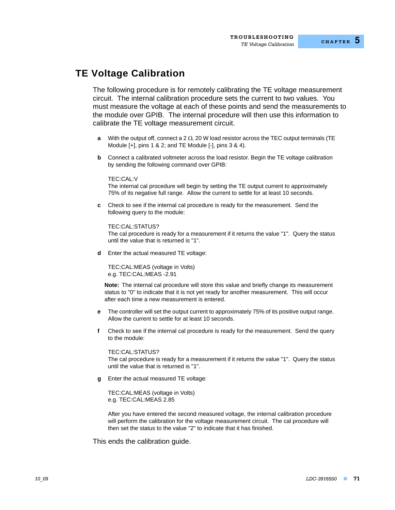## **TE Voltage Calibration**

The following procedure is for remotely calibrating the TE voltage measurement circuit. The internal calibration procedure sets the current to two values. You must measure the voltage at each of these points and send the measurements to the module over GPIB. The internal procedure will then use this information to calibrate the TE voltage measurement circuit.

- **a** With the output off, connect a 2  $\Omega$ , 20 W load resistor across the TEC output terminals (TE Module [+], pins 1 & 2; and TE Module [-], pins 3 & 4).
- **b** Connect a calibrated voltmeter across the load resistor. Begin the TE voltage calibration by sending the following command over GPIB:

### TEC:CAL:V

The internal cal procedure will begin by setting the TE output current to approximately 75% of its negative full range. Allow the current to settle for at least 10 seconds.

**c** Check to see if the internal cal procedure is ready for the measurement. Send the following query to the module:

#### TEC:CAL:STATUS?

The cal procedure is ready for a measurement if it returns the value "1". Query the status until the value that is returned is "1".

**d** Enter the actual measured TE voltage:

TEC:CAL:MEAS (voltage in Volts) e.g. TEC:CAL:MEAS -2.91

**Note:** The internal cal procedure will store this value and briefly change its measurement status to "0" to indicate that it is not yet ready for another measurement. This will occur after each time a new measurement is entered.

- **e** The controller will set the output current to approximately 75% of its positive output range. Allow the current to settle for at least 10 seconds.
- **f** Check to see if the internal cal procedure is ready for the measurement. Send the query to the module:

TEC:CAL:STATUS? The cal procedure is ready for a measurement if it returns the value "1". Query the status until the value that is returned is "1".

**g** Enter the actual measured TE voltage:

TEC:CAL:MEAS (voltage in Volts) e.g. TEC:CAL:MEAS 2.85

After you have entered the second measured voltage, the internal calibration procedure will perform the calibration for the voltage measurement circuit. The cal procedure will then set the status to the value "2" to indicate that it has finished.

This ends the calibration guide.